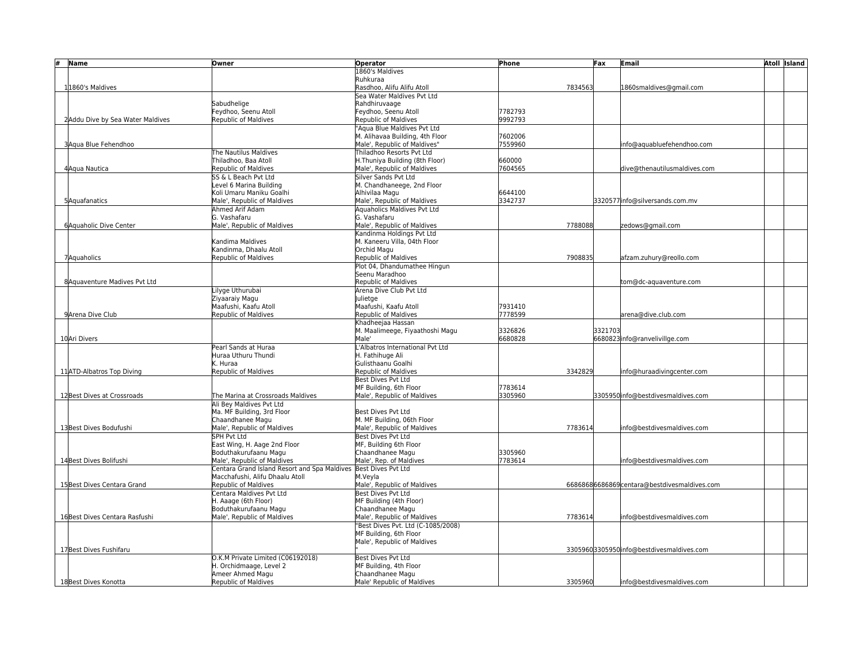| #<br>Name                        | Owner                                                           | <b>Operator</b>                                     | Phone              | Fax     | Email                                       | Atoll Island |
|----------------------------------|-----------------------------------------------------------------|-----------------------------------------------------|--------------------|---------|---------------------------------------------|--------------|
|                                  |                                                                 | 1860's Maldives                                     |                    |         |                                             |              |
|                                  |                                                                 | Ruhkuraa                                            |                    |         |                                             |              |
| 11860's Maldives                 |                                                                 | Rasdhoo, Alifu Alifu Atoll                          |                    | 7834563 | 1860smaldives@gmail.com                     |              |
|                                  |                                                                 | Sea Water Maldives Pvt Ltd                          |                    |         |                                             |              |
|                                  | Sabudheliae                                                     | Rahdhiruvaage                                       |                    |         |                                             |              |
|                                  | Feydhoo, Seenu Atoll<br><b>Republic of Maldives</b>             | Feydhoo, Seenu Atoll<br>Republic of Maldives        | 7782793<br>9992793 |         |                                             |              |
| 2Addu Dive by Sea Water Maldives |                                                                 | "Agua Blue Maldives Pvt Ltd                         |                    |         |                                             |              |
|                                  |                                                                 | M. Alihavaa Building, 4th Floor                     | 7602006            |         |                                             |              |
| 3Aqua Blue Fehendhoo             |                                                                 | Male', Republic of Maldives"                        | 7559960            |         | nfo@aquabluefehendhoo.com                   |              |
|                                  | The Nautilus Maldives                                           | Thiladhoo Resorts Pyt Ltd                           |                    |         |                                             |              |
|                                  | Thiladhoo, Baa Atoll                                            | H.Thuniya Building (8th Floor)                      | 660000             |         |                                             |              |
| 4Aqua Nautica                    | <b>Republic of Maldives</b>                                     | Male', Republic of Maldives                         | 7604565            |         | dive@thenautilusmaldives.com                |              |
|                                  | SS & L Beach Pvt Ltd                                            | Silver Sands Pvt Ltd                                |                    |         |                                             |              |
|                                  | Level 6 Marina Building                                         | M. Chandhaneege, 2nd Floor                          |                    |         |                                             |              |
|                                  | Koli Umaru Maniku Goalhi                                        | Alhivilaa Magu                                      | 6644100            |         |                                             |              |
| 5Aquafanatics                    | Male', Republic of Maldives                                     | Male', Republic of Maldives                         | 3342737            |         | 3320577 info@silversands.com.mv             |              |
|                                  | Ahmed Arif Adam                                                 | Aquaholics Maldives Pvt Ltd                         |                    |         |                                             |              |
|                                  | G. Vashafaru                                                    | G. Vashafaru                                        |                    |         |                                             |              |
| 6 Aquaholic Dive Center          | Male', Republic of Maldives                                     | Male', Republic of Maldives                         |                    | 7788088 | zedows@gmail.com                            |              |
|                                  |                                                                 | Kandinma Holdings Pyt Ltd                           |                    |         |                                             |              |
|                                  | Kandima Maldives                                                | M. Kaneeru Villa, 04th Floor                        |                    |         |                                             |              |
|                                  | Kandinma. Dhaalu Atoll<br><b>Republic of Maldives</b>           | Orchid Magu<br>Republic of Maldives                 |                    | 7908835 |                                             |              |
| 7Aquaholics                      |                                                                 | Plot 04, Dhandumathee Hingun                        |                    |         | afzam.zuhury@reollo.com                     |              |
|                                  |                                                                 | Seenu Maradhoo                                      |                    |         |                                             |              |
| 8 Aguaventure Madives Pvt Ltd    |                                                                 | Republic of Maldives                                |                    |         | tom@dc-aquaventure.com                      |              |
|                                  | Lilyge Uthurubai                                                | Arena Dive Club Pvt Ltd                             |                    |         |                                             |              |
|                                  | Ziyaaraiy Magu                                                  | lulietge                                            |                    |         |                                             |              |
|                                  | Maafushi, Kaafu Atoll                                           | Maafushi, Kaafu Atoll                               | 7931410            |         |                                             |              |
| 9 Arena Dive Club                | <b>Republic of Maldives</b>                                     | Republic of Maldives                                | 7778599            |         | arena@dive.club.com                         |              |
|                                  |                                                                 | Khadheejaa Hassan                                   |                    |         |                                             |              |
|                                  |                                                                 | M. Maalimeege, Fiyaathoshi Magu                     | 3326826            | 3321703 |                                             |              |
| 10 Ari Divers                    |                                                                 | Male'                                               | 6680828            |         | 6680823info@ranvelivillge.com               |              |
|                                  | Pearl Sands at Huraa                                            | 'Albatros International Pvt Ltd                     |                    |         |                                             |              |
|                                  | Huraa Uthuru Thundi                                             | H. Fathihuge Ali                                    |                    |         |                                             |              |
|                                  | K. Huraa                                                        | Gulisthaanu Goalhi                                  |                    |         |                                             |              |
| 11ATD-Albatros Top Diving        | Republic of Maldives                                            | Republic of Maldives                                |                    | 3342829 | info@huraadivingcenter.com                  |              |
|                                  |                                                                 | <b>Best Dives Pvt Ltd</b><br>MF Building, 6th Floor | 7783614            |         |                                             |              |
| 12 Best Dives at Crossroads      | The Marina at Crossroads Maldives                               | Male', Republic of Maldives                         | 3305960            |         | 3305950 info@bestdivesmaldives.com          |              |
|                                  | Ali Bey Maldives Pvt Ltd                                        |                                                     |                    |         |                                             |              |
|                                  | Ma. MF Building, 3rd Floor                                      | Best Dives Pvt Ltd                                  |                    |         |                                             |              |
|                                  | Chaandhanee Magu                                                | M. MF Building, 06th Floor                          |                    |         |                                             |              |
| 13 Best Dives Bodufushi          | Male', Republic of Maldives                                     | Male', Republic of Maldives                         |                    | 7783614 | info@bestdivesmaldives.com                  |              |
|                                  | <b>SPH Pvt Ltd</b>                                              | Best Dives Pvt Ltd                                  |                    |         |                                             |              |
|                                  | East Wing, H. Aage 2nd Floor                                    | MF, Building 6th Floor                              |                    |         |                                             |              |
|                                  | Boduthakurufaanu Magu                                           | Chaandhanee Magu                                    | 3305960            |         |                                             |              |
| 14 Best Dives Bolifushi          | Male', Republic of Maldives                                     | Male', Rep. of Maldives                             | 7783614            |         | nfo@bestdivesmaldives.com                   |              |
|                                  | Centara Grand Island Resort and Spa Maldives Best Dives Pvt Ltd |                                                     |                    |         |                                             |              |
| 15 Best Dives Centara Grand      | Macchafushi, Alifu Dhaalu Atoll<br>Republic of Maldives         | M.Veyla<br>Male', Republic of Maldives              |                    |         | 66868686686869centara@bestdivesmaldives.com |              |
|                                  | Centara Maldives Pvt Ltd                                        | <b>Best Dives Pvt Ltd</b>                           |                    |         |                                             |              |
|                                  | H. Aaage (6th Floor)                                            | MF Building (4th Floor)                             |                    |         |                                             |              |
|                                  | Boduthakurufaanu Magu                                           | Chaandhanee Magu                                    |                    |         |                                             |              |
| 16 Best Dives Centara Rasfushi   | Male', Republic of Maldives                                     | Male', Republic of Maldives                         |                    | 7783614 | info@bestdivesmaldives.com                  |              |
|                                  |                                                                 | "Best Dives Pvt. Ltd (C-1085/2008)                  |                    |         |                                             |              |
|                                  |                                                                 | MF Building, 6th Floor                              |                    |         |                                             |              |
|                                  |                                                                 | Male', Republic of Maldives                         |                    |         |                                             |              |
| 17 Best Dives Fushifaru          |                                                                 |                                                     |                    |         | 33059603305950 info@bestdivesmaldives.com   |              |
|                                  | O.K.M Private Limited (C06192018)                               | Best Dives Pvt Ltd                                  |                    |         |                                             |              |
|                                  | H. Orchidmaage. Level 2                                         | MF Building, 4th Floor                              |                    |         |                                             |              |
|                                  | Ameer Ahmed Magu                                                | Chaandhanee Magu                                    |                    |         |                                             |              |
| 18Best Dives Konotta             | <b>Republic of Maldives</b>                                     | Male' Republic of Maldives                          |                    | 3305960 | info@bestdivesmaldives.com                  |              |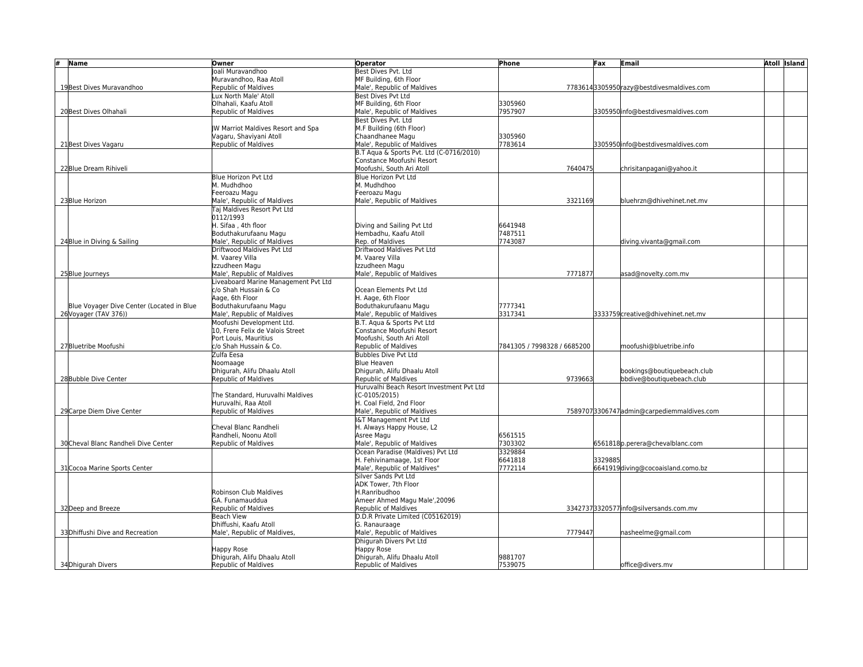| #<br>Name                                 | Owner                                                | <b>Operator</b>                                           | Phone                       | Fax     | Email                                     | <b>Atoll Island</b> |
|-------------------------------------------|------------------------------------------------------|-----------------------------------------------------------|-----------------------------|---------|-------------------------------------------|---------------------|
|                                           | Joali Muravandhoo                                    | Best Dives Pvt. Ltd                                       |                             |         |                                           |                     |
|                                           | Muravandhoo. Raa Atoll                               | MF Building, 6th Floor                                    |                             |         |                                           |                     |
| 19 Best Dives Muravandhoo                 | Republic of Maldives                                 | Male', Republic of Maldives                               |                             |         | 77836143305950 razy@bestdivesmaldives.com |                     |
|                                           | Lux North Male' Atoll                                | Best Dives Pyt Ltd                                        |                             |         |                                           |                     |
|                                           | Olhahali, Kaafu Atoll                                | MF Building, 6th Floor                                    | 3305960                     |         |                                           |                     |
| 20 Best Dives Olhahali                    | Republic of Maldives                                 | Male', Republic of Maldives                               | 7957907                     |         | 3305950 info@bestdivesmaldives.com        |                     |
|                                           |                                                      | Best Dives Pvt. Ltd                                       |                             |         |                                           |                     |
|                                           | W Marriot Maldives Resort and Spa                    | M.F Building (6th Floor)                                  |                             |         |                                           |                     |
|                                           | Vagaru, Shaviyani Atoll                              | Chaandhanee Magu                                          | 3305960                     |         |                                           |                     |
| 21 Best Dives Vagaru                      | Republic of Maldives                                 | Male', Republic of Maldives                               | 7783614                     |         | 3305950 info@bestdivesmaldives.com        |                     |
|                                           |                                                      | B.T Agua & Sports Pvt. Ltd (C-0716/2010)                  |                             |         |                                           |                     |
|                                           |                                                      | Constance Moofushi Resort                                 |                             |         |                                           |                     |
| 22 Blue Dream Rihiveli                    |                                                      | Moofushi, South Ari Atoll                                 | 7640475                     |         | chrisitanpagani@yahoo.it                  |                     |
|                                           | <b>Blue Horizon Pvt Ltd</b>                          | Blue Horizon Pyt Ltd                                      |                             |         |                                           |                     |
|                                           | M. Mudhdhoo                                          | M. Mudhdhoo                                               |                             |         |                                           |                     |
|                                           | Feeroazu Magu                                        | Feeroazu Magu                                             |                             |         |                                           |                     |
| 23 Blue Horizon                           | Male', Republic of Maldives                          | Male', Republic of Maldives                               | 3321169                     |         | bluehrzn@dhivehinet.net.mv                |                     |
|                                           | Tai Maldives Resort Pyt Ltd                          |                                                           |                             |         |                                           |                     |
|                                           | 0112/1993                                            |                                                           |                             |         |                                           |                     |
|                                           | H. Sifaa, 4th floor                                  | Diving and Sailing Pvt Ltd                                | 6641948                     |         |                                           |                     |
|                                           | Boduthakurufaanu Magu                                | Hembadhu, Kaafu Atoll                                     | 7487511                     |         |                                           |                     |
| 24 Blue in Diving & Sailing               | Male', Republic of Maldives                          | Rep. of Maldives                                          | 7743087                     |         | diving.vivanta@gmail.com                  |                     |
|                                           | Driftwood Maldives Pvt Ltd                           | Driftwood Maldives Pvt Ltd                                |                             |         |                                           |                     |
|                                           | M. Vaarey Villa                                      | M. Vaarey Villa                                           |                             |         |                                           |                     |
|                                           | Izzudheen Magu                                       | Izzudheen Magu                                            |                             |         |                                           |                     |
| 25 Blue Journeys                          | Male', Republic of Maldives                          | Male', Republic of Maldives                               | 7771877                     |         | asad@novelty.com.mv                       |                     |
|                                           | Liveaboard Marine Management Pvt Ltd                 |                                                           |                             |         |                                           |                     |
|                                           | c/o Shah Hussain & Co                                | Ocean Elements Pvt Ltd                                    |                             |         |                                           |                     |
|                                           | Aage, 6th Floor                                      | H. Aage, 6th Floor                                        |                             |         |                                           |                     |
| Blue Voyager Dive Center (Located in Blue | Boduthakurufaanu Magu                                | Boduthakurufaanu Magu                                     | 7777341                     |         |                                           |                     |
| 26 Voyager (TAV 376))                     | Male', Republic of Maldives                          | Male', Republic of Maldives                               | 3317341                     |         | 3333759 creative@dhivehinet.net.mv        |                     |
|                                           | Moofushi Development Ltd.                            | B.T. Agua & Sports Pvt Ltd                                |                             |         |                                           |                     |
|                                           | 10, Frere Felix de Valois Street                     | Constance Moofushi Resort                                 |                             |         |                                           |                     |
|                                           | Port Louis, Mauritius                                | Moofushi, South Ari Atoll                                 |                             |         |                                           |                     |
| 27 Bluetribe Moofushi                     | c/o Shah Hussain & Co.                               | Republic of Maldives                                      | 7841305 / 7998328 / 6685200 |         | moofushi@bluetribe.info                   |                     |
|                                           | Zulfa Eesa                                           | <b>Bubbles Dive Pyt Ltd</b>                               |                             |         |                                           |                     |
|                                           | Noomaage                                             | Blue Heaven                                               |                             |         |                                           |                     |
|                                           | Dhigurah, Alifu Dhaalu Atoll                         | Dhigurah, Alifu Dhaalu Atoll                              |                             |         | bookings@boutiquebeach.club               |                     |
| 28 Bubble Dive Center                     | Republic of Maldives                                 | Republic of Maldives                                      | 9739663                     |         | bbdive@boutiquebeach.club                 |                     |
|                                           |                                                      | Huruvalhi Beach Resort Investment Pvt Ltd                 |                             |         |                                           |                     |
|                                           | The Standard, Huruvalhi Maldives                     | $(C-0105/2015)$                                           |                             |         |                                           |                     |
|                                           | Huruvalhi, Raa Atoll                                 | H. Coal Field, 2nd Floor                                  |                             |         |                                           |                     |
| 29 Carpe Diem Dive Center                 | Republic of Maldives                                 | Male', Republic of Maldives                               |                             |         | 75897073306747admin@carpediemmaldives.com |                     |
|                                           |                                                      | I&T Management Pvt Ltd                                    |                             |         |                                           |                     |
|                                           | Cheval Blanc Randheli                                | H. Always Happy House, L2                                 |                             |         |                                           |                     |
| 30 Cheval Blanc Randheli Dive Center      | Randheli, Noonu Atoll<br><b>Republic of Maldives</b> | Asree Magu<br>Male', Republic of Maldives                 | 6561515<br>7303302          |         | 6561818p.perera@chevalblanc.com           |                     |
|                                           |                                                      |                                                           |                             |         |                                           |                     |
|                                           |                                                      | Ocean Paradise (Maldives) Pvt Ltd                         | 3329884                     |         |                                           |                     |
|                                           |                                                      | H. Fehivinamaage, 1st Floor                               | 6641818                     | 3329885 |                                           |                     |
| 31 Cocoa Marine Sports Center             |                                                      | Male', Republic of Maldives"<br>Silver Sands Pvt Ltd      | 7772114                     |         | 6641919diving@cocoaisland.como.bz         |                     |
|                                           |                                                      |                                                           |                             |         |                                           |                     |
|                                           | Robinson Club Maldives                               | ADK Tower, 7th Floor<br>H.Ranribudhoo                     |                             |         |                                           |                     |
|                                           |                                                      |                                                           |                             |         |                                           |                     |
|                                           | GA. Funamauddua                                      | Ameer Ahmed Magu Male', 20096                             |                             |         |                                           |                     |
| 32 Deep and Breeze                        | Republic of Maldives                                 | Republic of Maldives<br>D.D.R Private Limited (C05162019) |                             |         | 33427373320577info@silversands.com.mv     |                     |
|                                           | <b>Beach View</b>                                    |                                                           |                             |         |                                           |                     |
|                                           | Dhiffushi, Kaafu Atoll                               | G. Ranauraage                                             |                             |         |                                           |                     |
| 33 Dhiffushi Dive and Recreation          | Male', Republic of Maldives,                         | Male', Republic of Maldives                               | 7779447                     |         | nasheelme@gmail.com                       |                     |
|                                           |                                                      | Dhigurah Divers Pvt Ltd                                   |                             |         |                                           |                     |
|                                           | Happy Rose                                           | Happy Rose<br>Dhigurah, Alifu Dhaalu Atoll                | 9881707                     |         |                                           |                     |
|                                           | Dhigurah, Alifu Dhaalu Atoll<br>Republic of Maldives |                                                           | 7539075                     |         |                                           |                     |
| 34Dhigurah Divers                         |                                                      | Republic of Maldives                                      |                             |         | office@divers.mv                          |                     |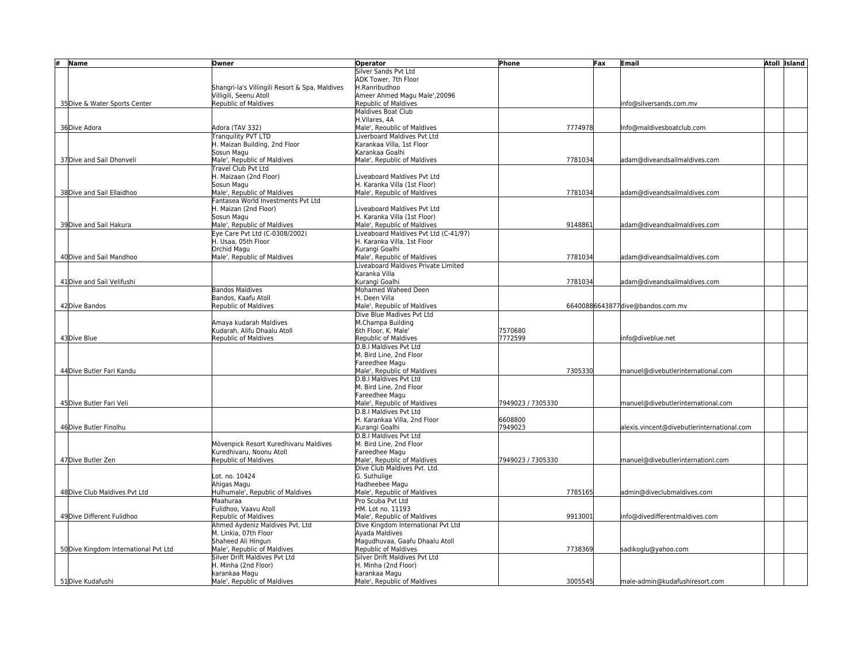| #<br>Name                             | Owner                                                         | <b>Operator</b>                                                      | Phone             | Fax | Email                                      | <b>Atoll Island</b> |
|---------------------------------------|---------------------------------------------------------------|----------------------------------------------------------------------|-------------------|-----|--------------------------------------------|---------------------|
|                                       |                                                               | Silver Sands Pvt Ltd                                                 |                   |     |                                            |                     |
|                                       |                                                               | ADK Tower, 7th Floor                                                 |                   |     |                                            |                     |
|                                       | Shangri-la's Villingili Resort & Spa, Maldives                | H.Ranribudhoo                                                        |                   |     |                                            |                     |
|                                       | Villigili, Seenu Atoll                                        | Ameer Ahmed Magu Male', 20096                                        |                   |     |                                            |                     |
| 35 Dive & Water Sports Center         | Republic of Maldives                                          | Republic of Maldives                                                 |                   |     | nfo@silversands.com.mv                     |                     |
|                                       |                                                               | Maldives Boat Club                                                   |                   |     |                                            |                     |
|                                       |                                                               | H.Vilares. 4A                                                        |                   |     |                                            |                     |
| 36Dive Adora                          | Adora (TAV 332)                                               | Male', Reoublic of Maldives                                          | 7774978           |     | nfo@maldivesboatclub.com                   |                     |
|                                       | <b>Tranquility PVT LTD</b>                                    | Liverboard Maldives Pyt Ltd                                          |                   |     |                                            |                     |
|                                       | H. Maizan Building, 2nd Floor                                 | Karankaa Villa, 1st Floor                                            |                   |     |                                            |                     |
|                                       | Sosun Magu                                                    | Karankaa Goalhi                                                      |                   |     |                                            |                     |
| 37 Dive and Sail Dhonveli             | Male', Republic of Maldives                                   | Male', Republic of Maldives                                          | 7781034           |     | adam@diveandsailmaldives.com               |                     |
|                                       | Travel Club Pyt Ltd                                           |                                                                      |                   |     |                                            |                     |
|                                       | H. Maizaan (2nd Floor)                                        | Liveaboard Maldives Pvt Ltd                                          |                   |     |                                            |                     |
|                                       | Sosun Magu                                                    | H. Karanka Villa (1st Floor)                                         |                   |     |                                            |                     |
| 38 Dive and Sail Ellaidhoo            | Male', Republic of Maldives                                   | Male', Republic of Maldives                                          | 7781034           |     | adam@diveandsailmaldives.com               |                     |
|                                       | Fantasea World Investments Pyt Ltd                            |                                                                      |                   |     |                                            |                     |
|                                       | H. Maizan (2nd Floor)                                         | Liveaboard Maldives Pyt Ltd                                          |                   |     |                                            |                     |
|                                       | Sosun Magu                                                    | H. Karanka Villa (1st Floor)                                         | 9148861           |     |                                            |                     |
| 39 Dive and Sail Hakura               | Male', Republic of Maldives<br>Eye Care Pvt Ltd (C-0308/2002) | Male', Republic of Maldives<br>Liveaboard Maldives Pvt Ltd (C-41/97) |                   |     | adam@diveandsailmaldives.com               |                     |
|                                       | H. Usaa, 05th Floor                                           | H. Karanka Villa, 1st Floor                                          |                   |     |                                            |                     |
|                                       | Orchid Magu                                                   | Kurangi Goalhi                                                       |                   |     |                                            |                     |
| 40 Dive and Sail Mandhoo              | Male', Republic of Maldives                                   | Male', Republic of Maldives                                          | 7781034           |     | adam@diveandsailmaldives.com               |                     |
|                                       |                                                               | Liveaboard Maldives Private Limited                                  |                   |     |                                            |                     |
|                                       |                                                               | Karanka Villa                                                        |                   |     |                                            |                     |
| 41 Dive and Sail Velifushi            |                                                               | Kurangi Goalhi                                                       | 7781034           |     | adam@diveandsailmaldives.com               |                     |
|                                       | <b>Bandos Maldives</b>                                        | Mohamed Waheed Deen                                                  |                   |     |                                            |                     |
|                                       | Bandos, Kaafu Atoll                                           | H. Deen Villa                                                        |                   |     |                                            |                     |
| 42 Dive Bandos                        | Republic of Maldives                                          | Male', Republic of Maldives                                          |                   |     | 66400886643877dive@bandos.com.mv           |                     |
|                                       |                                                               | Dive Blue Madives Pvt Ltd                                            |                   |     |                                            |                     |
|                                       | Amaya kudarah Maldives                                        | M.Champa Building                                                    |                   |     |                                            |                     |
|                                       | Kudarah, Alifu Dhaalu Atoll                                   | 6th Floor, K. Male'                                                  | 7570680           |     |                                            |                     |
| 43 Dive Blue                          | Republic of Maldives                                          | Republic of Maldives                                                 | 7772599           |     | nfo@diveblue.net                           |                     |
|                                       |                                                               | D.B.I Maldives Pvt Ltd                                               |                   |     |                                            |                     |
|                                       |                                                               | M. Bird Line. 2nd Floor                                              |                   |     |                                            |                     |
|                                       |                                                               | Fareedhee Magu                                                       |                   |     |                                            |                     |
| 44 Dive Butler Fari Kandu             |                                                               | Male', Republic of Maldives                                          | 7305330           |     | manuel@divebutlerinternational.com         |                     |
|                                       |                                                               | D.B.I Maldives Pvt Ltd                                               |                   |     |                                            |                     |
|                                       |                                                               | M. Bird Line. 2nd Floor                                              |                   |     |                                            |                     |
|                                       |                                                               | Fareedhee Magu                                                       |                   |     |                                            |                     |
| 45 Dive Butler Fari Veli              |                                                               | Male', Republic of Maldives                                          | 7949023 / 7305330 |     | manuel@divebutlerinternational.com         |                     |
|                                       |                                                               | D.B.I Maldives Pyt Ltd                                               |                   |     |                                            |                     |
|                                       |                                                               | H. Karankaa Villa, 2nd Floor                                         | 6608800           |     |                                            |                     |
| 46 Dive Butler Finolhu                |                                                               | Kurangi Goalhi                                                       | 7949023           |     | alexis.vincent@divebutlerinternational.com |                     |
|                                       |                                                               | D.B.I Maldives Pvt Ltd                                               |                   |     |                                            |                     |
|                                       | Mövenpick Resort Kuredhivaru Maldives                         | M. Bird Line. 2nd Floor                                              |                   |     |                                            |                     |
|                                       | Kuredhivaru, Noonu Atoll                                      | Fareedhee Magu                                                       |                   |     |                                            |                     |
| 47 Dive Butler Zen                    | <b>Republic of Maldives</b>                                   | Male', Republic of Maldives                                          | 7949023 / 7305330 |     | manuel@divebutlerinternationl.com          |                     |
|                                       |                                                               | Dive Club Maldives Pyt. Ltd.                                         |                   |     |                                            |                     |
|                                       | Lot. no. 10424                                                | G. Suthulige                                                         |                   |     |                                            |                     |
|                                       | Ahigas Magu                                                   | Hadheebee Magu                                                       |                   |     |                                            |                     |
| 48 Dive Club Maldives Pvt Ltd         | Hulhumale', Republic of Maldives                              | Male', Republic of Maldives                                          | 7785165           |     | admin@diveclubmaldives.com                 |                     |
|                                       | Maahuraa                                                      | Pro Scuba Pvt Ltd                                                    |                   |     |                                            |                     |
|                                       | Fulidhoo, Vaavu Atoll                                         | HM. Lot no. 11193                                                    |                   |     |                                            |                     |
| 49 Dive Different Fulidhoo            | Republic of Maldives                                          | Male', Republic of Maldives                                          | 9913001           |     | nfo@divedifferentmaldives.com              |                     |
|                                       | Ahmed Aydeniz Maldives Pvt. Ltd                               | Dive Kingdom International Pvt Ltd                                   |                   |     |                                            |                     |
|                                       | M. Linkia, 07th Floor                                         | Avada Maldives                                                       |                   |     |                                            |                     |
|                                       | Shaheed Ali Hingun                                            | Magudhuvaa, Gaafu Dhaalu Atoll                                       |                   |     |                                            |                     |
| 50 Dive Kingdom International Pvt Ltd | Male', Republic of Maldives                                   | Republic of Maldives                                                 | 7738369           |     | sadikoglu@yahoo.com                        |                     |
|                                       | Silver Drift Maldives Pvt Ltd                                 | Silver Drift Maldives Pvt Ltd                                        |                   |     |                                            |                     |
|                                       | H. Minha (2nd Floor)                                          | H. Minha (2nd Floor)                                                 |                   |     |                                            |                     |
|                                       | karankaa Magu                                                 | karankaa Magu                                                        | 3005545           |     |                                            |                     |
| 51Dive Kudafushi                      | Male', Republic of Maldives                                   | Male', Republic of Maldives                                          |                   |     | male-admin@kudafushiresort.com             |                     |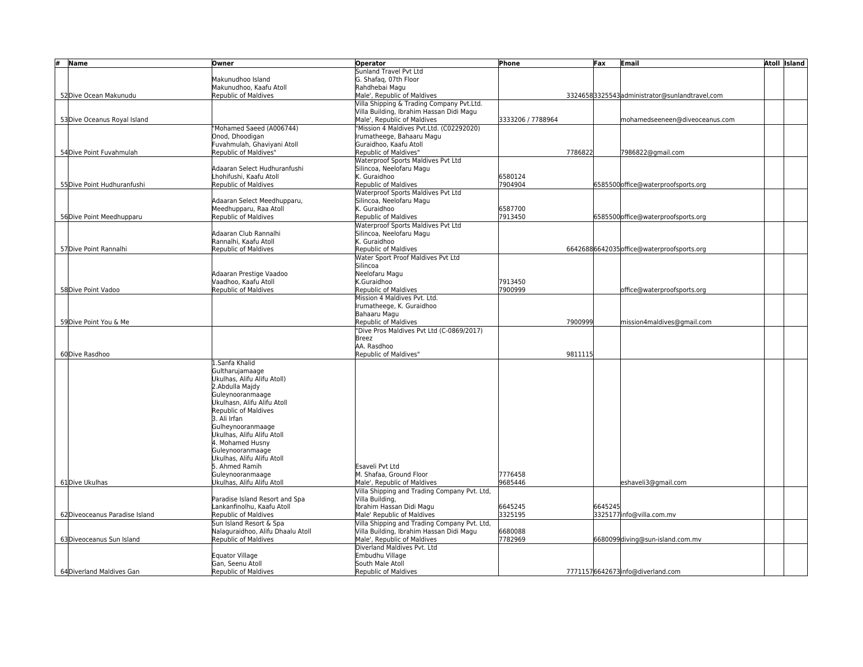| #<br>Name                     | Owner                                                   | <b>Operator</b>                              | Phone              | Fax     | Email                                         | <b>Atoll Island</b> |
|-------------------------------|---------------------------------------------------------|----------------------------------------------|--------------------|---------|-----------------------------------------------|---------------------|
|                               |                                                         | Sunland Travel Pvt Ltd                       |                    |         |                                               |                     |
|                               | Makunudhoo Island                                       | G. Shafag, 07th Floor                        |                    |         |                                               |                     |
|                               | Makunudhoo, Kaafu Atoll                                 | Rahdhebai Magu                               |                    |         |                                               |                     |
| 52 Dive Ocean Makunudu        | <b>Republic of Maldives</b>                             | Male', Republic of Maldives                  |                    |         | 33246583325543administrator@sunlandtravel,com |                     |
|                               |                                                         | Villa Shipping & Trading Company Pvt.Ltd.    |                    |         |                                               |                     |
|                               |                                                         | Villa Building, Ibrahim Hassan Didi Magu     |                    |         |                                               |                     |
| 53 Dive Oceanus Royal Island  |                                                         | Male', Republic of Maldives                  | 3333206 / 7788964  |         | mohamedseeneen@diveoceanus.com                |                     |
|                               | 'Mohamed Saeed (A006744)                                | "Mission 4 Maldives Pvt.Ltd. (C02292020)     |                    |         |                                               |                     |
|                               | Onod, Dhoodigan                                         | Irumatheege, Bahaaru Magu                    |                    |         |                                               |                     |
|                               | Fuvahmulah, Ghaviyani Atoll                             | Guraidhoo, Kaafu Atoll                       |                    |         |                                               |                     |
| 54 Dive Point Fuvahmulah      | Republic of Maldives"                                   | Republic of Maldives"                        | 7786822            |         | 7986822@gmail.com                             |                     |
|                               |                                                         | Waterproof Sports Maldives Pvt Ltd           |                    |         |                                               |                     |
|                               | Adaaran Select Hudhuranfushi<br>Lhohifushi. Kaafu Atoll | Silincoa, Neelofaru Magu<br>K. Guraidhoo     |                    |         |                                               |                     |
|                               |                                                         | Republic of Maldives                         | 6580124<br>7904904 |         |                                               |                     |
| 55 Dive Point Hudhuranfushi   | Republic of Maldives                                    | Waterproof Sports Maldives Pvt Ltd           |                    |         | 6585500 office@waterproofsports.org           |                     |
|                               | Adaaran Select Meedhupparu,                             | Silincoa, Neelofaru Magu                     |                    |         |                                               |                     |
|                               | Meedhupparu, Raa Atoll                                  | K. Guraidhoo                                 | 6587700            |         |                                               |                     |
| 56 Dive Point Meedhupparu     | <b>Republic of Maldives</b>                             | Republic of Maldives                         | 7913450            |         | 6585500 office@waterproofsports.org           |                     |
|                               |                                                         | Waterproof Sports Maldives Pvt Ltd           |                    |         |                                               |                     |
|                               | Adaaran Club Rannalhi                                   | Silincoa, Neelofaru Magu                     |                    |         |                                               |                     |
|                               | Rannalhi. Kaafu Atoll                                   | K. Guraidhoo                                 |                    |         |                                               |                     |
| 57 Dive Point Rannalhi        | Republic of Maldives                                    | Republic of Maldives                         |                    |         | 66426886642035 office@waterproofsports.org    |                     |
|                               |                                                         | Water Sport Proof Maldives Pvt Ltd           |                    |         |                                               |                     |
|                               |                                                         | Silincoa                                     |                    |         |                                               |                     |
|                               | Adaaran Prestige Vaadoo                                 | Neelofaru Magu                               |                    |         |                                               |                     |
|                               | Vaadhoo, Kaafu Atoll                                    | K.Guraidhoo                                  | 7913450            |         |                                               |                     |
| 58 Dive Point Vadoo           | <b>Republic of Maldives</b>                             | Republic of Maldives                         | 7900999            |         | office@waterproofsports.org                   |                     |
|                               |                                                         | Mission 4 Maldives Pvt. Ltd.                 |                    |         |                                               |                     |
|                               |                                                         | Irumatheege, K. Guraidhoo                    |                    |         |                                               |                     |
|                               |                                                         | Bahaaru Magu                                 |                    |         |                                               |                     |
| 59 Dive Point You & Me        |                                                         | Republic of Maldives                         | 7900999            |         | mission4maldives@gmail.com                    |                     |
|                               |                                                         | "Dive Pros Maldives Pvt Ltd (C-0869/2017)    |                    |         |                                               |                     |
|                               |                                                         | <b>Breez</b>                                 |                    |         |                                               |                     |
|                               |                                                         | AA. Rasdhoo                                  |                    |         |                                               |                     |
| 60Dive Rasdhoo                |                                                         | Republic of Maldives"                        | 9811115            |         |                                               |                     |
|                               | 1.Sanfa Khalid                                          |                                              |                    |         |                                               |                     |
|                               | Gultharujamaage                                         |                                              |                    |         |                                               |                     |
|                               | Ukulhas, Alifu Alifu Atoll)                             |                                              |                    |         |                                               |                     |
|                               | 2.Abdulla Majdy                                         |                                              |                    |         |                                               |                     |
|                               | Guleynooranmaage                                        |                                              |                    |         |                                               |                     |
|                               | Ukulhasn, Alifu Alifu Atoll                             |                                              |                    |         |                                               |                     |
|                               | Republic of Maldives<br>3. Ali Irfan                    |                                              |                    |         |                                               |                     |
|                               | Gulheynooranmaage                                       |                                              |                    |         |                                               |                     |
|                               | Ukulhas. Alifu Alifu Atoll                              |                                              |                    |         |                                               |                     |
|                               | 4. Mohamed Husny                                        |                                              |                    |         |                                               |                     |
|                               | Guleynooranmaage                                        |                                              |                    |         |                                               |                     |
|                               | Ukulhas, Alifu Alifu Atoll                              |                                              |                    |         |                                               |                     |
|                               | 5. Ahmed Ramih                                          | Esaveli Pvt Ltd                              |                    |         |                                               |                     |
|                               | Guleynooranmaage                                        | M. Shafaa. Ground Floor                      | 7776458            |         |                                               |                     |
| 61 Dive Ukulhas               | Ukulhas, Alifu Alifu Atoll                              | Male', Republic of Maldives                  | 9685446            |         | eshaveli3@gmail.com                           |                     |
|                               |                                                         | Villa Shipping and Trading Company Pvt. Ltd, |                    |         |                                               |                     |
|                               | Paradise Island Resort and Spa                          | Villa Building,                              |                    |         |                                               |                     |
|                               | Lankanfinolhu, Kaafu Atoll                              | Ibrahim Hassan Didi Magu                     | 6645245            | 6645245 |                                               |                     |
| 62Diveoceanus Paradise Island | Republic of Maldives                                    | Male' Republic of Maldives                   | 3325195            |         | 3325177 info@villa.com.mv                     |                     |
|                               | Sun Island Resort & Spa                                 | Villa Shipping and Trading Company Pvt. Ltd, |                    |         |                                               |                     |
|                               | Nalaguraidhoo, Alifu Dhaalu Atoll                       | Villa Building, Ibrahim Hassan Didi Magu     | 6680088            |         |                                               |                     |
| 63 Diveoceanus Sun Island     | <b>Republic of Maldives</b>                             | Male', Republic of Maldives                  | 7782969            |         | 6680099diving@sun-island.com.mv               |                     |
|                               |                                                         | Diverland Maldives Pvt. Ltd                  |                    |         |                                               |                     |
|                               | <b>Equator Village</b>                                  | Embudhu Village                              |                    |         |                                               |                     |
|                               | Gan, Seenu Atoll                                        | South Male Atoll                             |                    |         |                                               |                     |
| 64 Diverland Maldives Gan     | Republic of Maldives                                    | Republic of Maldives                         |                    |         | 77711576642673info@diverland.com              |                     |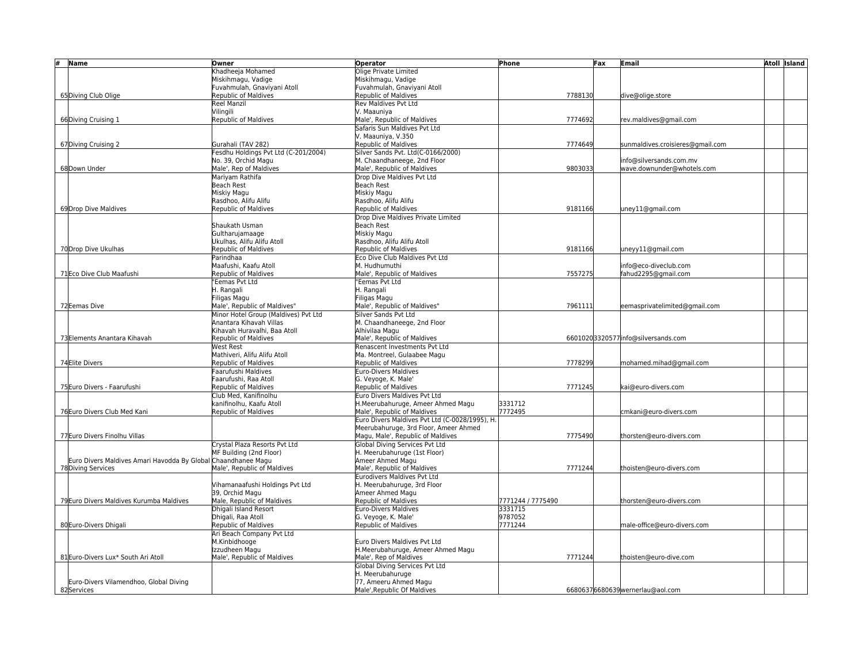| #<br>Name                                                                           | Owner                                        | Operator                                         | Phone             | Fax     | <b>Email</b>                       | <b>Atoll Island</b> |
|-------------------------------------------------------------------------------------|----------------------------------------------|--------------------------------------------------|-------------------|---------|------------------------------------|---------------------|
|                                                                                     | Chadheeja Mohamed                            | Olige Private Limited                            |                   |         |                                    |                     |
|                                                                                     | Miskihmagu, Vadige                           | Miskihmagu, Vadige                               |                   |         |                                    |                     |
|                                                                                     | Fuvahmulah, Gnaviyani Atoll                  | Fuvahmulah, Gnaviyani Atoll                      |                   |         |                                    |                     |
| 65 Diving Club Olige                                                                | Republic of Maldives                         | Republic of Maldives                             |                   | 7788130 | dive@olige.store                   |                     |
|                                                                                     | Reel Manzil                                  | <b>Rev Maldives Pyt Ltd</b>                      |                   |         |                                    |                     |
|                                                                                     | Vilingili                                    | V. Maauniya                                      |                   |         |                                    |                     |
| 66 Diving Cruising 1                                                                | Republic of Maldives                         | Male', Republic of Maldives                      |                   | 7774692 | rev.maldives@gmail.com             |                     |
|                                                                                     |                                              | Safaris Sun Maldives Pvt Ltd                     |                   |         |                                    |                     |
|                                                                                     |                                              | V. Maauniya, V.350                               |                   |         |                                    |                     |
| 67 Diving Cruising 2                                                                | Gurahali (TAV 282)                           | Republic of Maldives                             |                   | 7774649 | sunmaldives.croisieres@gmail.com   |                     |
|                                                                                     | esdhu Holdings Pvt Ltd (C-201/2004)          | Silver Sands Pvt. Ltd(C-0166/2000)               |                   |         |                                    |                     |
|                                                                                     | No. 39, Orchid Magu                          | M. Chaandhaneege, 2nd Floor                      |                   |         | nfo@silversands.com.mv             |                     |
| 68 Down Under                                                                       | Male', Rep of Maldives                       | Male', Republic of Maldives                      |                   | 9803033 | wave.downunder@whotels.com         |                     |
|                                                                                     | Mariyam Rathifa                              | Drop Dive Maldives Pyt Ltd                       |                   |         |                                    |                     |
|                                                                                     | <b>Beach Rest</b>                            | <b>Beach Rest</b><br>Miskiy Magu                 |                   |         |                                    |                     |
|                                                                                     | Miskiy Magu                                  |                                                  |                   |         |                                    |                     |
|                                                                                     | Rasdhoo, Alifu Alifu<br>Republic of Maldives | Rasdhoo, Alifu Alifu<br>Republic of Maldives     |                   | 9181166 |                                    |                     |
| 69 Drop Dive Maldives                                                               |                                              | Drop Dive Maldives Private Limited               |                   |         | uney11@gmail.com                   |                     |
|                                                                                     | Shaukath Usman                               | Beach Rest                                       |                   |         |                                    |                     |
|                                                                                     | Gultharujamaage                              | Miskiy Magu                                      |                   |         |                                    |                     |
|                                                                                     | Ukulhas. Alifu Alifu Atoll                   | Rasdhoo. Alifu Alifu Atoll                       |                   |         |                                    |                     |
| 70 Drop Dive Ukulhas                                                                | <b>Republic of Maldives</b>                  | Republic of Maldives                             |                   | 9181166 | uneyy11@gmail.com                  |                     |
|                                                                                     | Parindhaa                                    | Eco Dive Club Maldives Pvt Ltd                   |                   |         |                                    |                     |
|                                                                                     | Maafushi, Kaafu Atoll                        | M. Hudhumuthi                                    |                   |         | nfo@eco-diveclub.com               |                     |
| 71 Eco Dive Club Maafushi                                                           | Republic of Maldives                         | Male', Republic of Maldives                      |                   | 7557275 | ahud2295@gmail.com                 |                     |
|                                                                                     | 'Eemas Pvt Ltd                               | "Eemas Pvt Ltd                                   |                   |         |                                    |                     |
|                                                                                     | H. Rangali                                   | H. Rangali                                       |                   |         |                                    |                     |
|                                                                                     | Filigas Magu                                 | Filigas Magu                                     |                   |         |                                    |                     |
| 72 Eemas Dive                                                                       | Male', Republic of Maldives"                 | Male', Republic of Maldives"                     |                   | 7961111 | eemasprivatelimited@gmail.com      |                     |
|                                                                                     | Minor Hotel Group (Maldives) Pvt Ltd         | Silver Sands Pvt Ltd                             |                   |         |                                    |                     |
|                                                                                     | Anantara Kihavah Villas                      | M. Chaandhaneege, 2nd Floor                      |                   |         |                                    |                     |
|                                                                                     | Kihavah Huravalhi, Baa Atoll                 | Alhivilaa Magu                                   |                   |         |                                    |                     |
| 73 Elements Anantara Kihavah                                                        | Republic of Maldives                         | Male', Republic of Maldives                      |                   |         | 66010203320577info@silversands.com |                     |
|                                                                                     | West Rest                                    | Renascent Investments Pvt Ltd                    |                   |         |                                    |                     |
|                                                                                     | Mathiveri, Alifu Alifu Atoll                 | Ma. Montreel, Gulaabee Magu                      |                   |         |                                    |                     |
| 74Elite Divers                                                                      | Republic of Maldives                         | Republic of Maldives                             |                   | 7778299 | mohamed.mihad@gmail.com            |                     |
|                                                                                     | Faarufushi Maldives                          | Euro-Divers Maldives                             |                   |         |                                    |                     |
|                                                                                     | Faarufushi. Raa Atoll                        | G. Vevoge, K. Male'                              |                   |         |                                    |                     |
| 75 Euro Divers - Faarufushi                                                         | Republic of Maldives                         | Republic of Maldives                             |                   | 7771245 | cai@euro-divers.com                |                     |
|                                                                                     | Club Med. Kanifinolhu                        | Euro Divers Maldives Pvt Ltd                     |                   |         |                                    |                     |
|                                                                                     | canifinolhu, Kaafu Atoll                     | H.Meerubahuruge, Ameer Ahmed Magu                | 3331712           |         |                                    |                     |
| 76 Euro Divers Club Med Kani                                                        | Republic of Maldives                         | Male'. Republic of Maldives                      | 7772495           |         | :mkani@euro-divers.com             |                     |
|                                                                                     |                                              | Euro Divers Maldives Pvt Ltd (C-0028/1995), H.   |                   |         |                                    |                     |
|                                                                                     |                                              | Meerubahuruge, 3rd Floor, Ameer Ahmed            |                   |         |                                    |                     |
| 77 Euro Divers Finolhu Villas                                                       |                                              | Magu, Male', Republic of Maldives                |                   | 7775490 | thorsten@euro-divers.com           |                     |
|                                                                                     | Crystal Plaza Resorts Pvt Ltd                | Global Diving Services Pvt Ltd                   |                   |         |                                    |                     |
|                                                                                     | MF Building (2nd Floor)                      | H. Meerubahuruge (1st Floor)<br>Ameer Ahmed Magu |                   |         |                                    |                     |
| Euro Divers Maldives Amari Havodda By Global Chaandhanee Magu<br>78 Diving Services | Male', Republic of Maldives                  | Male', Republic of Maldives                      |                   | 7771244 |                                    |                     |
|                                                                                     |                                              | Eurodivers Maldives Pvt Ltd                      |                   |         | thoisten@euro-divers.com           |                     |
|                                                                                     | Vihamanaafushi Holdings Pvt Ltd              | H. Meerubahuruge, 3rd Floor                      |                   |         |                                    |                     |
|                                                                                     | 39, Orchid Magu                              | Ameer Ahmed Magu                                 |                   |         |                                    |                     |
| 79 Euro Divers Maldives Kurumba Maldives                                            | Male, Republic of Maldives                   | Republic of Maldives                             | 7771244 / 7775490 |         | thorsten@euro-divers.com           |                     |
|                                                                                     | Dhigali Island Resort                        | Euro-Divers Maldives                             | 3331715           |         |                                    |                     |
|                                                                                     | Dhigali, Raa Atoll                           | G. Veyoge, K. Male'                              | 9787052           |         |                                    |                     |
| 80 Euro-Divers Dhigali                                                              | Republic of Maldives                         | Republic of Maldives                             | 7771244           |         | male-office@euro-divers.com        |                     |
|                                                                                     | Ari Beach Company Pvt Ltd                    |                                                  |                   |         |                                    |                     |
|                                                                                     | M.Kinbidhooge                                | Euro Divers Maldives Pvt Ltd                     |                   |         |                                    |                     |
|                                                                                     | Izzudheen Magu                               | H.Meerubahuruge. Ameer Ahmed Magu                |                   |         |                                    |                     |
| 81 Euro-Divers Lux* South Ari Atoll                                                 | Male', Republic of Maldives                  | Male', Rep of Maldives                           |                   | 7771244 | thoisten@euro-dive.com             |                     |
|                                                                                     |                                              | Global Diving Services Pvt Ltd                   |                   |         |                                    |                     |
|                                                                                     |                                              | H. Meerubahuruge                                 |                   |         |                                    |                     |
| Euro-Divers Vilamendhoo, Global Diving                                              |                                              | 77, Ameeru Ahmed Magu                            |                   |         |                                    |                     |
| 82Services                                                                          |                                              | Male', Republic Of Maldives                      |                   |         | 66806376680639 wernerlau@aol.com   |                     |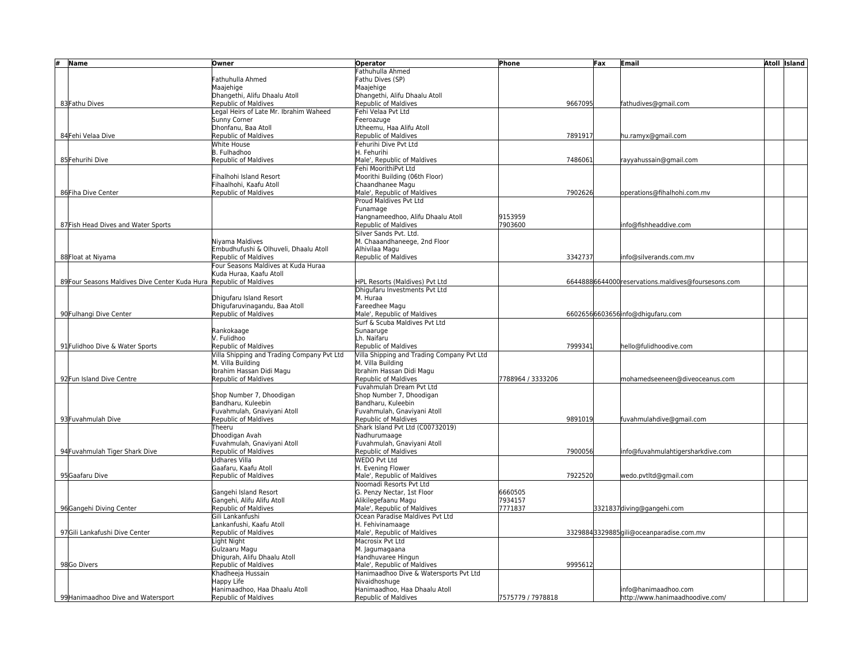| # | Name                                           | Owner                                                    | <b>Operator</b>                                                 | Phone             |         | Fax | <b>Email</b>                                        | Atoll Island |
|---|------------------------------------------------|----------------------------------------------------------|-----------------------------------------------------------------|-------------------|---------|-----|-----------------------------------------------------|--------------|
|   |                                                |                                                          | Fathuhulla Ahmed                                                |                   |         |     |                                                     |              |
|   |                                                | Fathuhulla Ahmed                                         | Fathu Dives (SP)                                                |                   |         |     |                                                     |              |
|   |                                                | Maajehige                                                | Maajehige                                                       |                   |         |     |                                                     |              |
|   |                                                | Dhangethi, Alifu Dhaalu Atoll                            | Dhangethi, Alifu Dhaalu Atoll                                   |                   |         |     |                                                     |              |
|   | 83 Fathu Dives                                 | <b>Republic of Maldives</b>                              | Republic of Maldives                                            |                   | 9667095 |     | fathudives@gmail.com                                |              |
|   |                                                | Legal Heirs of Late Mr. Ibrahim Waheed                   | Fehi Velaa Pvt Ltd                                              |                   |         |     |                                                     |              |
|   |                                                | Sunny Corner                                             | Feeroazuge                                                      |                   |         |     |                                                     |              |
|   |                                                | Dhonfanu, Baa Atoll                                      | Utheemu, Haa Alifu Atoll                                        |                   |         |     |                                                     |              |
|   | 84 Fehi Velaa Dive                             | Republic of Maldives                                     | Republic of Maldives                                            |                   | 7891917 |     | hu.ramyx@gmail.com                                  |              |
|   |                                                | White House                                              | Fehurihi Dive Pvt Ltd                                           |                   |         |     |                                                     |              |
|   |                                                | B. Fulhadhoo                                             | H. Fehurihi                                                     |                   |         |     |                                                     |              |
|   | 85 Fehurihi Dive                               | Republic of Maldives                                     | Male', Republic of Maldives                                     |                   | 7486061 |     | rayyahussain@gmail.com                              |              |
|   |                                                |                                                          | Fehi MoorithiPvt Ltd                                            |                   |         |     |                                                     |              |
|   |                                                | Fihalhohi Island Resort                                  | Moorithi Building (06th Floor)                                  |                   |         |     |                                                     |              |
|   |                                                | Fihaalhohi, Kaafu Atoll                                  | Chaandhanee Magu                                                |                   |         |     |                                                     |              |
|   | 86 Fiha Dive Center                            | <b>Republic of Maldives</b>                              | Male', Republic of Maldives                                     |                   | 7902626 |     | operations@fihalhohi.com.mv                         |              |
|   |                                                |                                                          | Proud Maldives Pyt Ltd                                          |                   |         |     |                                                     |              |
|   |                                                |                                                          | Funamage                                                        |                   |         |     |                                                     |              |
|   |                                                |                                                          | Hangnameedhoo, Alifu Dhaalu Atoll                               | 9153959           |         |     |                                                     |              |
|   | 87 Fish Head Dives and Water Sports            |                                                          | Republic of Maldives                                            | 7903600           |         |     | nfo@fishheaddive.com                                |              |
|   |                                                |                                                          | Silver Sands Pvt. Ltd.                                          |                   |         |     |                                                     |              |
|   |                                                | Nivama Maldives                                          | M. Chaaandhaneege, 2nd Floor                                    |                   |         |     |                                                     |              |
|   |                                                | Embudhufushi & Olhuveli, Dhaalu Atoll                    | Alhivilaa Magu                                                  |                   |         |     |                                                     |              |
|   | 88 Float at Niyama                             | <b>Republic of Maldives</b>                              | Republic of Maldives                                            |                   | 3342737 |     | nfo@silverands.com.mv                               |              |
|   |                                                | Four Seasons Maldives at Kuda Huraa                      |                                                                 |                   |         |     |                                                     |              |
|   |                                                | Kuda Huraa. Kaafu Atoll                                  |                                                                 |                   |         |     |                                                     |              |
|   | 89 Four Seasons Maldives Dive Center Kuda Hura | Republic of Maldives                                     | HPL Resorts (Maldives) Pvt Ltd<br>Dhigufaru Investments Pvt Ltd |                   |         |     | 66448886644000 reservations.maldives@foursesons.com |              |
|   |                                                |                                                          |                                                                 |                   |         |     |                                                     |              |
|   |                                                | Dhigufaru Island Resort<br>Dhigufaruvinagandu. Baa Atoll | M. Huraa<br>Fareedhee Magu                                      |                   |         |     |                                                     |              |
|   | 90 Fulhangi Dive Center                        | <b>Republic of Maldives</b>                              | Male', Republic of Maldives                                     |                   |         |     | 66026566603656info@dhigufaru.com                    |              |
|   |                                                |                                                          | Surf & Scuba Maldives Pyt Ltd                                   |                   |         |     |                                                     |              |
|   |                                                | Rankokaage                                               | Sunaaruge                                                       |                   |         |     |                                                     |              |
|   |                                                | V. Fulidhoo                                              | Lh. Naifaru                                                     |                   |         |     |                                                     |              |
|   | 91 Fulidhoo Dive & Water Sports                | Republic of Maldives                                     | Republic of Maldives                                            |                   | 7999341 |     | hello@fulidhoodive.com                              |              |
|   |                                                | Villa Shipping and Trading Company Pvt Ltd               | Villa Shipping and Trading Company Pvt Ltd                      |                   |         |     |                                                     |              |
|   |                                                | M. Villa Building                                        | M. Villa Building                                               |                   |         |     |                                                     |              |
|   |                                                | Ibrahim Hassan Didi Magu                                 | Ibrahim Hassan Didi Magu                                        |                   |         |     |                                                     |              |
|   | 92 Fun Island Dive Centre                      | <b>Republic of Maldives</b>                              | Republic of Maldives                                            | 7788964 / 3333206 |         |     | mohamedseeneen@diveoceanus.com                      |              |
|   |                                                |                                                          | Fuvahmulah Dream Pvt Ltd                                        |                   |         |     |                                                     |              |
|   |                                                | Shop Number 7, Dhoodigan                                 | Shop Number 7, Dhoodigan                                        |                   |         |     |                                                     |              |
|   |                                                | Bandharu. Kuleebin                                       | Bandharu. Kuleebin                                              |                   |         |     |                                                     |              |
|   |                                                | Fuvahmulah, Gnaviyani Atoll                              | Fuvahmulah, Gnaviyani Atoll                                     |                   |         |     |                                                     |              |
|   | 93 Fuvahmulah Dive                             | <b>Republic of Maldives</b>                              | Republic of Maldives                                            |                   | 9891019 |     | fuvahmulahdive@gmail.com                            |              |
|   |                                                | Theeru                                                   | Shark Island Pvt Ltd (C00732019)                                |                   |         |     |                                                     |              |
|   |                                                | Dhoodigan Avah                                           | Nadhurumaage                                                    |                   |         |     |                                                     |              |
|   |                                                | Fuvahmulah, Gnaviyani Atoll                              | Fuvahmulah, Gnaviyani Atoll                                     |                   |         |     |                                                     |              |
|   | 94 Fuvahmulah Tiger Shark Dive                 | Republic of Maldives                                     | Republic of Maldives                                            |                   | 7900056 |     | info@fuvahmulahtigersharkdive.com                   |              |
|   |                                                | Udhares Villa                                            | <b>WEDO Pvt Ltd</b>                                             |                   |         |     |                                                     |              |
|   |                                                | Gaafaru, Kaafu Atoll                                     | H. Evening Flower                                               |                   |         |     |                                                     |              |
|   | 95 Gaafaru Dive                                | Republic of Maldives                                     | Male', Republic of Maldives                                     |                   | 7922520 |     | wedo.pvtltd@gmail.com                               |              |
|   |                                                |                                                          | Noomadi Resorts Pvt Ltd                                         |                   |         |     |                                                     |              |
|   |                                                | Gangehi Island Resort                                    | G. Penzy Nectar, 1st Floor                                      | 6660505           |         |     |                                                     |              |
|   |                                                | Gangehi, Alifu Alifu Atoll                               | Alikilegefaanu Magu                                             | 7934157           |         |     |                                                     |              |
|   | 96Gangehi Diving Center                        | Republic of Maldives                                     | Male', Republic of Maldives                                     | 7771837           |         |     | 3321837 diving@gangehi.com                          |              |
|   |                                                | Gili Lankanfushi                                         | Ocean Paradise Maldives Pvt Ltd                                 |                   |         |     |                                                     |              |
|   |                                                | Lankanfushi. Kaafu Atoll                                 | H. Fehivinamaage                                                |                   |         |     |                                                     |              |
|   | 97Gili Lankafushi Dive Center                  | Republic of Maldives                                     | Male', Republic of Maldives                                     |                   |         |     | 33298843329885gili@oceanparadise.com.mv             |              |
|   |                                                | Light Night                                              | Macrosix Pvt Ltd                                                |                   |         |     |                                                     |              |
|   |                                                | Gulzaaru Magu                                            | M. Jagumagaana                                                  |                   |         |     |                                                     |              |
|   |                                                | Dhigurah, Alifu Dhaalu Atoll                             | Handhuvaree Hingun                                              |                   |         |     |                                                     |              |
|   | 98Go Divers                                    | Republic of Maldives                                     | Male', Republic of Maldives                                     |                   | 9995612 |     |                                                     |              |
|   |                                                | Khadheeja Hussain                                        | Hanimaadhoo Dive & Watersports Pvt Ltd                          |                   |         |     |                                                     |              |
|   |                                                | Happy Life                                               | Nivaidhoshuge                                                   |                   |         |     |                                                     |              |
|   |                                                | Hanimaadhoo, Haa Dhaalu Atoll                            | Hanimaadhoo, Haa Dhaalu Atoll                                   |                   |         |     | info@hanimaadhoo.com                                |              |
|   | 99 Hanimaadhoo Dive and Watersport             | <b>Republic of Maldives</b>                              | Republic of Maldives                                            | 7575779 / 7978818 |         |     | http://www.hanimaadhoodive.com/                     |              |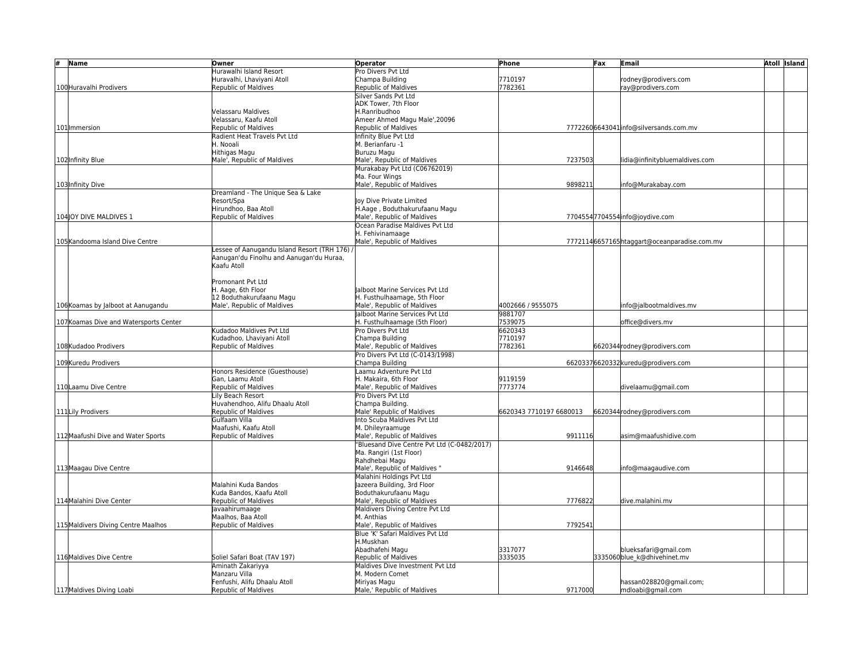| # | Name                                   | Owner                                         | <b>Operator</b>                             | Phone                   | Fax | Email                                       | Atoll Island |
|---|----------------------------------------|-----------------------------------------------|---------------------------------------------|-------------------------|-----|---------------------------------------------|--------------|
|   |                                        | Hurawalhi Island Resort                       | Pro Divers Pvt Ltd                          |                         |     |                                             |              |
|   |                                        | Huravalhi, Lhaviyani Atoll                    | Champa Building                             | 7710197                 |     | rodney@prodivers.com                        |              |
|   | 100 Huravalhi Prodivers                | Republic of Maldives                          | Republic of Maldives                        | 7782361                 |     | ray@prodivers.com                           |              |
|   |                                        |                                               | Silver Sands Pvt Ltd                        |                         |     |                                             |              |
|   |                                        |                                               | ADK Tower, 7th Floor                        |                         |     |                                             |              |
|   |                                        | Velassaru Maldives                            | H.Ranribudhoo                               |                         |     |                                             |              |
|   |                                        | Velassaru. Kaafu Atoll                        | Ameer Ahmed Magu Male', 20096               |                         |     |                                             |              |
|   | 101 Immersion                          | Republic of Maldives                          | Republic of Maldives                        |                         |     | 77722606643041info@silversands.com.mv       |              |
|   |                                        | Radient Heat Travels Pvt Ltd                  | Infinity Blue Pyt Ltd                       |                         |     |                                             |              |
|   |                                        | H. Nooali                                     | M. Berianfaru -1                            |                         |     |                                             |              |
|   |                                        | Hithigas Magu                                 | Buruzu Magu                                 |                         |     |                                             |              |
|   | 102 Infinity Blue                      | Male', Republic of Maldives                   | Male', Republic of Maldives                 | 7237503                 |     | lidia@infinitybluemaldives.com              |              |
|   |                                        |                                               | Murakabay Pvt Ltd (C06762019)               |                         |     |                                             |              |
|   |                                        |                                               | Ma. Four Wings                              |                         |     |                                             |              |
|   | 103 Infinity Dive                      |                                               | Male', Republic of Maldives                 | 989821                  |     | info@Murakabay.com                          |              |
|   |                                        | Dreamland - The Unique Sea & Lake             |                                             |                         |     |                                             |              |
|   |                                        | Resort/Spa                                    | loy Dive Private Limited                    |                         |     |                                             |              |
|   |                                        | Hirundhoo, Baa Atoll                          | H.Aage, Boduthakurufaanu Magu               |                         |     |                                             |              |
|   | 104 OY DIVE MALDIVES 1                 | <b>Republic of Maldives</b>                   | Male', Republic of Maldives                 |                         |     | 77045547704554info@joydive.com              |              |
|   |                                        |                                               | Ocean Paradise Maldives Pvt Ltd             |                         |     |                                             |              |
|   |                                        |                                               | H. Fehivinamaage                            |                         |     |                                             |              |
|   | 105 Kandooma Island Dive Centre        |                                               | Male', Republic of Maldives                 |                         |     | 77721146657165htaggart@oceanparadise.com.mv |              |
|   |                                        | Lessee of Aanugandu Island Resort (TRH 176) / |                                             |                         |     |                                             |              |
|   |                                        | Aanugan'du Finolhu and Aanugan'du Huraa,      |                                             |                         |     |                                             |              |
|   |                                        | Kaafu Atoll                                   |                                             |                         |     |                                             |              |
|   |                                        |                                               |                                             |                         |     |                                             |              |
|   |                                        | Promonant Pvt Ltd                             |                                             |                         |     |                                             |              |
|   |                                        | H. Aage, 6th Floor                            | alboot Marine Services Pvt Ltd              |                         |     |                                             |              |
|   |                                        | 12 Boduthakurufaanu Magu                      | H. Fusthulhaamage, 5th Floor                |                         |     |                                             |              |
|   | 106 Koamas by Jalboot at Aanugandu     | Male', Republic of Maldives                   | Male', Republic of Maldives                 | 4002666 / 9555075       |     | info@jalbootmaldives.mv                     |              |
|   |                                        |                                               | lalboot Marine Services Pvt Ltd             | 9881707                 |     |                                             |              |
|   | 107 Koamas Dive and Watersports Center |                                               | H. Fusthulhaamage (5th Floor)               | 7539075                 |     | office@divers.mv                            |              |
|   |                                        | Kudadoo Maldives Pvt Ltd                      | Pro Divers Pvt Ltd                          | 6620343                 |     |                                             |              |
|   |                                        | Kudadhoo, Lhavivani Atoll                     | Champa Building                             | 7710197                 |     |                                             |              |
|   | 108Kudadoo Prodivers                   | Republic of Maldives                          | Male', Republic of Maldives                 | 7782361                 |     | 6620344 rodney@prodivers.com                |              |
|   |                                        |                                               | Pro Divers Pvt Ltd (C-0143/1998)            |                         |     |                                             |              |
|   | 109 Kuredu Prodivers                   |                                               | Champa Building                             |                         |     | 66203376620332kuredu@prodivers.com          |              |
|   |                                        | Honors Residence (Guesthouse)                 | Laamu Adventure Pyt Ltd                     |                         |     |                                             |              |
|   |                                        | Gan, Laamu Atoll                              | H. Makaira, 6th Floor                       | 9119159                 |     |                                             |              |
|   | 110 Laamu Dive Centre                  | Republic of Maldives                          | Male', Republic of Maldives                 | 7773774                 |     | divelaamu@gmail.com                         |              |
|   |                                        | Lily Beach Resort                             | Pro Divers Pvt Ltd                          |                         |     |                                             |              |
|   |                                        | Huvahendhoo, Alifu Dhaalu Atoll               | Champa Building.                            |                         |     |                                             |              |
|   | 111 Lily Prodivers                     | Republic of Maldives                          | Male' Republic of Maldives                  | 6620343 7710197 6680013 |     | 6620344rodney@prodivers.com                 |              |
|   |                                        | Gulfaam Villa                                 | Into Scuba Maldives Pvt Ltd                 |                         |     |                                             |              |
|   |                                        | Maafushi. Kaafu Atoll                         | M. Dhileyraamuge                            |                         |     |                                             |              |
|   | 112 Maafushi Dive and Water Sports     | Republic of Maldives                          | Male', Republic of Maldives                 | 9911116                 |     | asim@maafushidive.com                       |              |
|   |                                        |                                               | "Bluesand Dive Centre Pvt Ltd (C-0482/2017) |                         |     |                                             |              |
|   |                                        |                                               | Ma. Rangiri (1st Floor)                     |                         |     |                                             |              |
|   |                                        |                                               | Rahdhebai Magu                              |                         |     |                                             |              |
|   | 113 Maagau Dive Centre                 |                                               | Male', Republic of Maldives "               | 9146648                 |     | info@maagaudive.com                         |              |
|   |                                        |                                               | Malahini Holdings Pvt Ltd                   |                         |     |                                             |              |
|   |                                        | Malahini Kuda Bandos                          | Jazeera Building, 3rd Floor                 |                         |     |                                             |              |
|   |                                        | Kuda Bandos, Kaafu Atoll                      | Boduthakurufaanu Magu                       |                         |     |                                             |              |
|   | 114 Malahini Dive Center               | Republic of Maldives                          | Male', Republic of Maldives                 | 7776822                 |     | dive.malahini.mv                            |              |
|   |                                        | Javaahirumaage                                | Maldivers Diving Centre Pvt Ltd             |                         |     |                                             |              |
|   |                                        | Maalhos, Baa Atoll                            | M. Anthias                                  |                         |     |                                             |              |
|   | 115 Maldivers Diving Centre Maalhos    | <b>Republic of Maldives</b>                   | Male', Republic of Maldives                 | 7792541                 |     |                                             |              |
|   |                                        |                                               | Blue 'K' Safari Maldives Pyt Ltd            |                         |     |                                             |              |
|   |                                        |                                               | H.Muskhan                                   |                         |     |                                             |              |
|   |                                        |                                               | Abadhafehi Magu                             | 3317077                 |     | blueksafari@gmail.com                       |              |
|   | 116 Maldives Dive Centre               | Soliel Safari Boat (TAV 197)                  | Republic of Maldives                        | 3335035                 |     | 3335060blue k@dhivehinet.mv                 |              |
|   |                                        | Aminath Zakariyya                             | Maldives Dive Investment Pvt Ltd            |                         |     |                                             |              |
|   |                                        | Manzaru Villa                                 | M. Modern Comet                             |                         |     |                                             |              |
|   |                                        | Fenfushi, Alifu Dhaalu Atoll                  | Miriyas Magu                                |                         |     | hassan028820@gmail.com;                     |              |
|   | 117 Maldives Diving Loabi              | Republic of Maldives                          | Male,' Republic of Maldives                 | 9717000                 |     | mdloabi@gmail.com                           |              |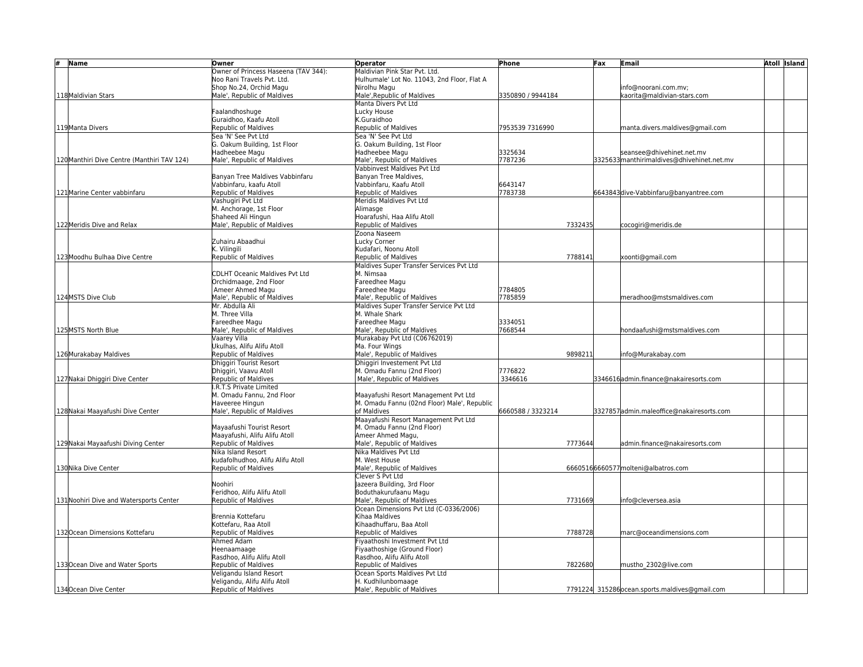| #<br>Name                                   | Owner                                           | <b>Operator</b>                                           | Phone              | Fax | <b>Email</b>                                   | Atoll Island |
|---------------------------------------------|-------------------------------------------------|-----------------------------------------------------------|--------------------|-----|------------------------------------------------|--------------|
|                                             | Owner of Princess Haseena (TAV 344):            | Maldivian Pink Star Pvt. Ltd.                             |                    |     |                                                |              |
|                                             | Noo Rani Travels Pvt. Ltd.                      | Hulhumale' Lot No. 11043, 2nd Floor, Flat A               |                    |     |                                                |              |
|                                             | Shop No.24, Orchid Magu                         | Nirolhu Magu                                              |                    |     | info@noorani.com.mv;                           |              |
| 118 Maldivian Stars                         | Male', Republic of Maldives                     | Male', Republic of Maldives                               | 3350890 / 9944184  |     | kaorita@maldivian-stars.com                    |              |
|                                             |                                                 | Manta Divers Pvt Ltd                                      |                    |     |                                                |              |
|                                             | Faalandhoshuge                                  | Lucky House                                               |                    |     |                                                |              |
|                                             | Guraidhoo, Kaafu Atoll                          | K.Guraidhoo                                               |                    |     |                                                |              |
| 119Manta Divers                             | Republic of Maldives                            | Republic of Maldives                                      | 7953539 7316990    |     | manta.divers.maldives@gmail.com                |              |
|                                             | Sea 'N' See Pyt Ltd                             | Sea 'N' See Pvt Ltd                                       |                    |     |                                                |              |
|                                             | G. Oakum Building, 1st Floor                    | G. Oakum Building, 1st Floor                              |                    |     |                                                |              |
|                                             | Hadheebee Magu                                  | Hadheebee Magu                                            | 3325634            |     | seansee@dhivehinet.net.mv                      |              |
| 120 Manthiri Dive Centre (Manthiri TAV 124) | Male', Republic of Maldives                     | Male', Republic of Maldives                               | 7787236            |     | 3325633 manthirimaldives@dhivehinet.net.mv     |              |
|                                             |                                                 | Vabbinvest Maldives Pyt Ltd                               |                    |     |                                                |              |
|                                             | Banyan Tree Maldives Vabbinfaru                 | Banyan Tree Maldives,                                     |                    |     |                                                |              |
|                                             | Vabbinfaru, kaafu Atoll                         | Vabbinfaru, Kaafu Atoll                                   | 6643147            |     |                                                |              |
| 121 Marine Center vabbinfaru                | Republic of Maldives                            | Republic of Maldives                                      | 7783738            |     | 6643843 dive-Vabbinfaru@banyantree.com         |              |
|                                             | Vashugiri Pvt Ltd                               | Meridis Maldives Pvt Ltd                                  |                    |     |                                                |              |
|                                             | M. Anchorage, 1st Floor                         | Alimasge                                                  |                    |     |                                                |              |
|                                             | Shaheed Ali Hingun                              | Hoarafushi. Haa Alifu Atoll                               |                    |     |                                                |              |
| 122 Meridis Dive and Relax                  | Male', Republic of Maldives                     | Republic of Maldives                                      | 7332435            |     | cocogiri@meridis.de                            |              |
|                                             |                                                 | Zoona Naseem                                              |                    |     |                                                |              |
|                                             | Zuhairu Abaadhui                                | Lucky Corner                                              |                    |     |                                                |              |
|                                             | K. Vilingili                                    | Kudafari, Noonu Atoll                                     |                    |     |                                                |              |
| 123 Moodhu Bulhaa Dive Centre               | Republic of Maldives                            | Republic of Maldives                                      | 7788141            |     | xoonti@gmail.com                               |              |
|                                             |                                                 | Maldives Super Transfer Services Pvt Ltd                  |                    |     |                                                |              |
|                                             | <b>CDLHT Oceanic Maldives Pvt Ltd</b>           | M. Nimsaa                                                 |                    |     |                                                |              |
|                                             | Orchidmaage, 2nd Floor                          | Fareedhee Magu                                            |                    |     |                                                |              |
| 124 MSTS Dive Club                          | Ameer Ahmed Magu<br>Male', Republic of Maldives | Fareedhee Magu<br>Male', Republic of Maldives             | 7784805<br>7785859 |     |                                                |              |
|                                             | Mr. Abdulla Ali                                 |                                                           |                    |     | meradhoo@mstsmaldives.com                      |              |
|                                             | M. Three Villa                                  | Maldives Super Transfer Service Pvt Ltd<br>M. Whale Shark |                    |     |                                                |              |
|                                             | Fareedhee Magu                                  | Fareedhee Magu                                            | 3334051            |     |                                                |              |
| 125 MSTS North Blue                         | Male', Republic of Maldives                     | Male', Republic of Maldives                               | 7668544            |     | hondaafushi@mstsmaldives.com                   |              |
|                                             | Vaarey Villa                                    | Murakabay Pvt Ltd (C06762019)                             |                    |     |                                                |              |
|                                             | Ukulhas. Alifu Alifu Atoll                      | Ma. Four Wings                                            |                    |     |                                                |              |
| 126 Murakabay Maldives                      | Republic of Maldives                            | Male', Republic of Maldives                               | 9898211            |     | info@Murakabay.com                             |              |
|                                             | Dhiggiri Tourist Resort                         | Dhiggiri Investement Pvt Ltd                              |                    |     |                                                |              |
|                                             | Dhiggiri, Vaavu Atoll                           | M. Omadu Fannu (2nd Floor)                                | 7776822            |     |                                                |              |
| 127 Nakai Dhiggiri Dive Center              | Republic of Maldives                            | Male', Republic of Maldives                               | 3346616            |     | 3346616 admin.finance@nakairesorts.com         |              |
|                                             | .R.T.S Private Limited                          |                                                           |                    |     |                                                |              |
|                                             | M. Omadu Fannu, 2nd Floor                       | Maayafushi Resort Management Pvt Ltd                      |                    |     |                                                |              |
|                                             | Haveeree Hingun                                 | M. Omadu Fannu (02nd Floor) Male', Republic               |                    |     |                                                |              |
| 128 Nakai Maayafushi Dive Center            | Male', Republic of Maldives                     | of Maldives                                               | 6660588 / 3323214  |     | 3327857admin.maleoffice@nakairesorts.com       |              |
|                                             |                                                 | Maayafushi Resort Management Pvt Ltd                      |                    |     |                                                |              |
|                                             | Mayaafushi Tourist Resort                       | M. Omadu Fannu (2nd Floor)                                |                    |     |                                                |              |
|                                             | Maayafushi, Alifu Alifu Atoll                   | Ameer Ahmed Magu.                                         |                    |     |                                                |              |
| 129 Nakai Mayaafushi Diving Center          | Republic of Maldives                            | Male', Republic of Maldives                               | 7773644            |     | admin.finance@nakairesorts.com                 |              |
|                                             | Nika Island Resort                              | Nika Maldives Pyt Ltd                                     |                    |     |                                                |              |
|                                             | kudafolhudhoo, Alifu Alifu Atoll                | M. West House                                             |                    |     |                                                |              |
| 130 Nika Dive Center                        | Republic of Maldives                            | Male', Republic of Maldives                               |                    |     | 66605166660577 molteni@albatros.com            |              |
|                                             |                                                 | Clever S Pvt Ltd                                          |                    |     |                                                |              |
|                                             | Noohiri                                         | Jazeera Building, 3rd Floor                               |                    |     |                                                |              |
|                                             | Feridhoo, Alifu Alifu Atoll                     | Boduthakurufaanu Magu                                     |                    |     |                                                |              |
| 131 Noohiri Dive and Watersports Center     | Republic of Maldives                            | Male', Republic of Maldives                               | 7731669            |     | info@cleversea.asia                            |              |
|                                             |                                                 | Ocean Dimensions Pvt Ltd (C-0336/2006)                    |                    |     |                                                |              |
|                                             | Brennia Kottefaru                               | Kihaa Maldives                                            |                    |     |                                                |              |
|                                             | Kottefaru, Raa Atoll                            | Kihaadhuffaru, Baa Atoll                                  |                    |     |                                                |              |
| 132 Ocean Dimensions Kottefaru              | Republic of Maldives                            | Republic of Maldives                                      | 7788728            |     | marc@oceandimensions.com                       |              |
|                                             | Ahmed Adam                                      | Fiyaathoshi Investment Pvt Ltd                            |                    |     |                                                |              |
|                                             | Heenaamaage                                     | Fiyaathoshige (Ground Floor)                              |                    |     |                                                |              |
|                                             | Rasdhoo, Alifu Alifu Atoll                      | Rasdhoo, Alifu Alifu Atoll                                |                    |     |                                                |              |
| 133 Ocean Dive and Water Sports             | Republic of Maldives                            | Republic of Maldives                                      | 7822680            |     | mustho 2302@live.com                           |              |
|                                             | Veligandu Island Resort                         | Ocean Sports Maldives Pvt Ltd                             |                    |     |                                                |              |
|                                             | Veligandu, Alifu Alifu Atoll                    | H. Kudhilunbomaage                                        |                    |     |                                                |              |
| 134 Ocean Dive Center                       | Republic of Maldives                            | Male', Republic of Maldives                               |                    |     | 7791224 315286 ocean.sports.maldives@gmail.com |              |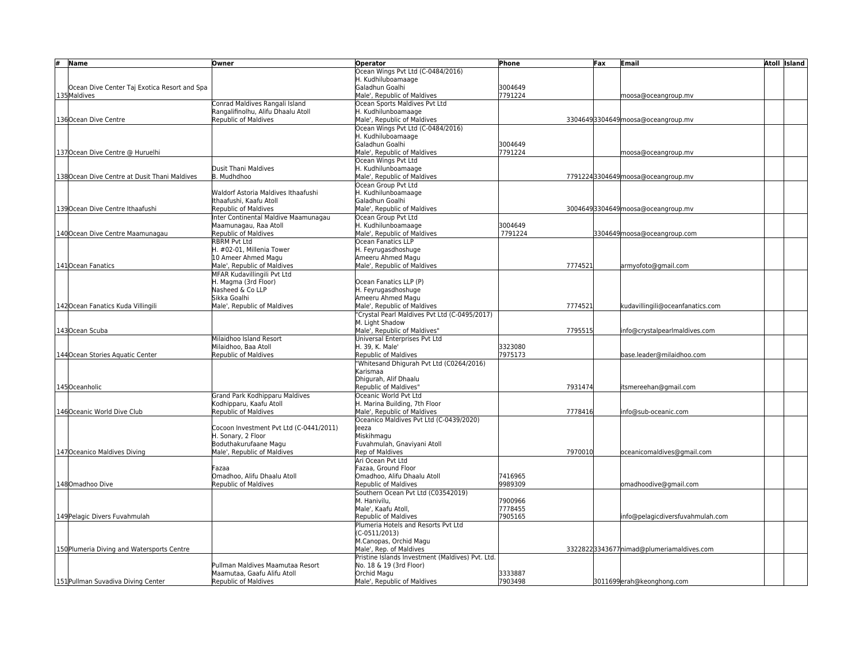| #<br><b>Name</b>                              | Owner                                           | <b>Operator</b>                                  | Phone   | Fax | Email                                     | <b>Atoll Island</b> |
|-----------------------------------------------|-------------------------------------------------|--------------------------------------------------|---------|-----|-------------------------------------------|---------------------|
|                                               |                                                 | Ocean Wings Pvt Ltd (C-0484/2016)                |         |     |                                           |                     |
|                                               |                                                 | H. Kudhiluboamaage                               |         |     |                                           |                     |
| Ocean Dive Center Taj Exotica Resort and Spa  |                                                 | Galadhun Goalhi                                  | 3004649 |     |                                           |                     |
| 135 Maldives                                  |                                                 | Male', Republic of Maldives                      | 7791224 |     | moosa@oceangroup.mv                       |                     |
|                                               | Conrad Maldives Rangali Island                  | Ocean Sports Maldives Pvt Ltd                    |         |     |                                           |                     |
|                                               | Rangalifinolhu, Alifu Dhaalu Atoll              | H. Kudhilunboamaage                              |         |     |                                           |                     |
| 136 Ocean Dive Centre                         | <b>Republic of Maldives</b>                     | Male', Republic of Maldives                      |         |     | 33046493304649 moosa@oceangroup.mv        |                     |
|                                               |                                                 | Ocean Wings Pvt Ltd (C-0484/2016)                |         |     |                                           |                     |
|                                               |                                                 | H. Kudhiluboamaage                               |         |     |                                           |                     |
|                                               |                                                 | Galadhun Goalhi                                  | 3004649 |     |                                           |                     |
| 137 Ocean Dive Centre @ Huruelhi              |                                                 | Male', Republic of Maldives                      | 7791224 |     | moosa@oceangroup.mv                       |                     |
|                                               |                                                 | Ocean Wings Pvt Ltd                              |         |     |                                           |                     |
|                                               | <b>Dusit Thani Maldives</b>                     | H. Kudhilunboamaage                              |         |     |                                           |                     |
| 138 Ocean Dive Centre at Dusit Thani Maldives | B. Mudhdhoo                                     | Male', Republic of Maldives                      |         |     | 77912243304649 moosa@oceangroup.mv        |                     |
|                                               |                                                 | Ocean Group Pvt Ltd                              |         |     |                                           |                     |
|                                               | Waldorf Astoria Maldives Ithaafushi             | H. Kudhilunboamaage                              |         |     |                                           |                     |
|                                               | Ithaafushi, Kaafu Atoll                         | Galadhun Goalhi                                  |         |     |                                           |                     |
| 139 Ocean Dive Centre Ithaafushi              | <b>Republic of Maldives</b>                     | Male'. Republic of Maldives                      |         |     | 30046493304649 moosa@oceangroup.mv        |                     |
|                                               | Inter Continental Maldive Maamunagau            | Ocean Group Pvt Ltd                              |         |     |                                           |                     |
|                                               | Maamunagau, Raa Atoll                           | H. Kudhilunboamaage                              | 3004649 |     |                                           |                     |
| 140 Ocean Dive Centre Maamunagau              | Republic of Maldives                            | Male', Republic of Maldives                      | 7791224 |     | 3304649 moosa@oceangroup.com              |                     |
|                                               | <b>RBRM Pvt Ltd</b>                             | Ocean Fanatics LLP                               |         |     |                                           |                     |
|                                               | H. #02-01, Millenia Tower                       | H. Feyrugasdhoshuge                              |         |     |                                           |                     |
|                                               | 10 Ameer Ahmed Magu                             | Ameeru Ahmed Magu                                |         |     |                                           |                     |
| 141 Ocean Fanatics                            | Male', Republic of Maldives                     | Male', Republic of Maldives                      | 7774521 |     | armyofoto@gmail.com                       |                     |
|                                               | MFAR Kudavillingili Pvt Ltd                     |                                                  |         |     |                                           |                     |
|                                               | H. Magma (3rd Floor)                            | Ocean Fanatics LLP (P)                           |         |     |                                           |                     |
|                                               | Nasheed & Co LLP                                | H. Feyrugasdhoshuge                              |         |     |                                           |                     |
|                                               | Sikka Goalhi                                    | Ameeru Ahmed Magu                                |         |     |                                           |                     |
| 142 Ocean Fanatics Kuda Villingili            | Male', Republic of Maldives                     | Male', Republic of Maldives                      | 7774521 |     | udavillingili@oceanfanatics.com           |                     |
|                                               |                                                 | 'Crystal Pearl Maldives Pvt Ltd (C-0495/2017)    |         |     |                                           |                     |
|                                               |                                                 | M. Light Shadow<br>Male', Republic of Maldives"  | 7795515 |     | nfo@crystalpearlmaldives.com              |                     |
| 143 Ocean Scuba                               |                                                 | Universal Enterprises Pvt Ltd                    |         |     |                                           |                     |
|                                               | Milaidhoo Island Resort<br>Milaidhoo, Baa Atoll | H. 39, K. Male'                                  | 3323080 |     |                                           |                     |
| 144 Ocean Stories Aquatic Center              | <b>Republic of Maldives</b>                     | Republic of Maldives                             | 7975173 |     | base.leader@milaidhoo.com                 |                     |
|                                               |                                                 | "Whitesand Dhigurah Pvt Ltd (C0264/2016)         |         |     |                                           |                     |
|                                               |                                                 | Karismaa                                         |         |     |                                           |                     |
|                                               |                                                 | Dhigurah, Alif Dhaalu                            |         |     |                                           |                     |
| 145Oceanholic                                 |                                                 | Republic of Maldives"                            | 7931474 |     | itsmereehan@gmail.com                     |                     |
|                                               | Grand Park Kodhipparu Maldives                  | Oceanic World Pvt Ltd                            |         |     |                                           |                     |
|                                               | Kodhipparu, Kaafu Atoll                         | H. Marina Building, 7th Floor                    |         |     |                                           |                     |
| 146 Oceanic World Dive Club                   | Republic of Maldives                            | Male', Republic of Maldives                      | 7778416 |     | nfo@sub-oceanic.com                       |                     |
|                                               |                                                 | Oceanico Maldives Pvt Ltd (C-0439/2020)          |         |     |                                           |                     |
|                                               | Cocoon Investment Pvt Ltd (C-0441/2011)         | leeza                                            |         |     |                                           |                     |
|                                               | H. Sonary, 2 Floor                              | Miskihmagu                                       |         |     |                                           |                     |
|                                               | Boduthakurufaane Magu                           | Fuvahmulah, Gnaviyani Atoll                      |         |     |                                           |                     |
| 147 Oceanico Maldives Diving                  | Male', Republic of Maldives                     | Rep of Maldives                                  | 7970010 |     | oceanicomaldives@gmail.com                |                     |
|                                               |                                                 | Ari Ocean Pvt Ltd                                |         |     |                                           |                     |
|                                               | Fazaa                                           | Fazaa, Ground Floor                              |         |     |                                           |                     |
|                                               | Omadhoo, Alifu Dhaalu Atoll                     | Omadhoo, Alifu Dhaalu Atoll                      | 7416965 |     |                                           |                     |
| 148 Omadhoo Dive                              | Republic of Maldives                            | Republic of Maldives                             | 9989309 |     | omadhoodive@gmail.com                     |                     |
|                                               |                                                 | Southern Ocean Pvt Ltd (C03542019)               |         |     |                                           |                     |
|                                               |                                                 | M. Hanivilu.                                     | 7900966 |     |                                           |                     |
|                                               |                                                 | Male', Kaafu Atoll,                              | 7778455 |     |                                           |                     |
| 149 Pelagic Divers Fuvahmulah                 |                                                 | Republic of Maldives                             | 7905165 |     | nfo@pelagicdiversfuvahmulah.com           |                     |
|                                               |                                                 | Plumeria Hotels and Resorts Pvt Ltd              |         |     |                                           |                     |
|                                               |                                                 | $(C-0511/2013)$                                  |         |     |                                           |                     |
|                                               |                                                 | M.Canopas, Orchid Magu                           |         |     |                                           |                     |
| 150 Plumeria Diving and Watersports Centre    |                                                 | Male', Rep. of Maldives                          |         |     | 33228223343677 nimad@plumeriamaldives.com |                     |
|                                               |                                                 | Pristine Islands Investment (Maldives) Pvt. Ltd. |         |     |                                           |                     |
|                                               | Pullman Maldives Maamutaa Resort                | No. 18 & 19 (3rd Floor)                          |         |     |                                           |                     |
|                                               | Maamutaa. Gaafu Alifu Atoll                     | Orchid Magu                                      | 3333887 |     |                                           |                     |
| 151 Pullman Suvadiva Diving Center            | Republic of Maldives                            | Male', Republic of Maldives                      | 7903498 |     | 3011699erah@keonghong.com                 |                     |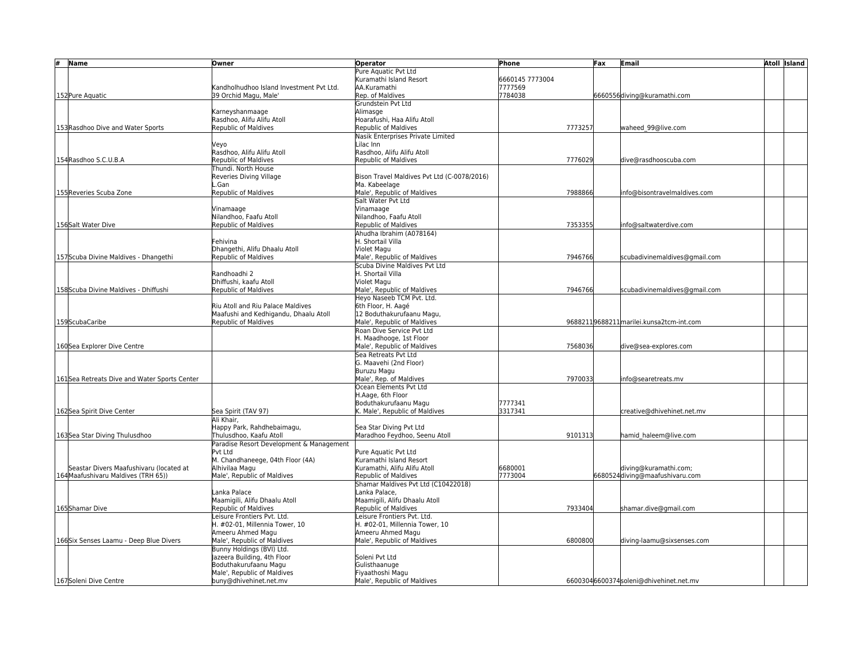| #<br><b>Name</b>                             | Owner                                                               | <b>Operator</b>                                          | Phone           | Fax | <b>Email</b>                             | <b>Atoll Island</b> |
|----------------------------------------------|---------------------------------------------------------------------|----------------------------------------------------------|-----------------|-----|------------------------------------------|---------------------|
|                                              |                                                                     | Pure Aquatic Pvt Ltd                                     |                 |     |                                          |                     |
|                                              |                                                                     | Kuramathi Island Resort                                  | 6660145 7773004 |     |                                          |                     |
|                                              | Kandholhudhoo Island Investment Pvt Ltd.                            | AA.Kuramathi                                             | 7777569         |     |                                          |                     |
| 152 Pure Aquatic                             | 39 Orchid Magu, Male'                                               | Rep. of Maldives                                         | 7784038         |     | 6660556diving@kuramathi.com              |                     |
|                                              |                                                                     | Grundstein Pvt Ltd                                       |                 |     |                                          |                     |
|                                              | Karneyshanmaage                                                     | Alimasge                                                 |                 |     |                                          |                     |
|                                              | Rasdhoo, Alifu Alifu Atoll                                          | Hoarafushi, Haa Alifu Atoll                              |                 |     |                                          |                     |
| 153 Rasdhoo Dive and Water Sports            | <b>Republic of Maldives</b>                                         | Republic of Maldives                                     | 7773257         |     | waheed_99@live.com                       |                     |
|                                              |                                                                     | Nasik Enterprises Private Limited                        |                 |     |                                          |                     |
|                                              | Veyo                                                                | Lilac Inn                                                |                 |     |                                          |                     |
|                                              | Rasdhoo, Alifu Alifu Atoll                                          | Rasdhoo, Alifu Alifu Atoll                               |                 |     |                                          |                     |
| 154 Rasdhoo S.C.U.B.A                        | <b>Republic of Maldives</b>                                         | Republic of Maldives                                     | 7776029         |     | dive@rasdhooscuba.com                    |                     |
|                                              | Thundi. North House                                                 | Bison Travel Maldives Pvt Ltd (C-0078/2016)              |                 |     |                                          |                     |
|                                              | Reveries Diving Village<br>.Gan                                     | Ma. Kabeelage                                            |                 |     |                                          |                     |
| 155 Reveries Scuba Zone                      | Republic of Maldives                                                | Male', Republic of Maldives                              | 7988866         |     | nfo@bisontravelmaldives.com              |                     |
|                                              |                                                                     | Salt Water Pvt Ltd                                       |                 |     |                                          |                     |
|                                              | Vinamaage                                                           | Vinamaage                                                |                 |     |                                          |                     |
|                                              | Nilandhoo, Faafu Atoll                                              | Nilandhoo, Faafu Atoll                                   |                 |     |                                          |                     |
| 156Salt Water Dive                           | Republic of Maldives                                                | Republic of Maldives                                     | 7353355         |     | info@saltwaterdive.com                   |                     |
|                                              |                                                                     | Ahudha Ibrahim (A078164)                                 |                 |     |                                          |                     |
|                                              | Fehivina                                                            | H. Shortail Villa                                        |                 |     |                                          |                     |
|                                              | Dhangethi, Alifu Dhaalu Atoll                                       | Violet Magu                                              |                 |     |                                          |                     |
| 157 Scuba Divine Maldives - Dhangethi        | Republic of Maldives                                                | Male', Republic of Maldives                              | 7946766         |     | scubadivinemaldives@gmail.com            |                     |
|                                              |                                                                     | Scuba Divine Maldives Pvt Ltd                            |                 |     |                                          |                     |
|                                              | Randhoadhi 2                                                        | H. Shortail Villa                                        |                 |     |                                          |                     |
|                                              | Dhiffushi, kaafu Atoll                                              | Violet Magu                                              |                 |     |                                          |                     |
| 158 Scuba Divine Maldives - Dhiffushi        | <b>Republic of Maldives</b>                                         | Male', Republic of Maldives                              | 7946766         |     | scubadivinemaldives@gmail.com            |                     |
|                                              |                                                                     | Heyo Naseeb TCM Pvt. Ltd.                                |                 |     |                                          |                     |
|                                              | Riu Atoll and Riu Palace Maldives                                   | 6th Floor, H. Aagé                                       |                 |     |                                          |                     |
|                                              | Maafushi and Kedhigandu, Dhaalu Atoll                               | 12 Boduthakurufaanu Magu,                                |                 |     |                                          |                     |
| 159ScubaCaribe                               | Republic of Maldives                                                | Male', Republic of Maldives                              |                 |     | 96882119688211 marilei.kunsa2tcm-int.com |                     |
|                                              |                                                                     | Roan Dive Service Pvt Ltd                                |                 |     |                                          |                     |
|                                              |                                                                     | H. Maadhooge, 1st Floor                                  |                 |     |                                          |                     |
| 160Sea Explorer Dive Centre                  |                                                                     | Male', Republic of Maldives                              | 7568036         |     | dive@sea-explores.com                    |                     |
|                                              |                                                                     | Sea Retreats Pvt Ltd                                     |                 |     |                                          |                     |
|                                              |                                                                     | G. Maavehi (2nd Floor)                                   |                 |     |                                          |                     |
|                                              |                                                                     | Buruzu Magu                                              |                 |     |                                          |                     |
| 161Sea Retreats Dive and Water Sports Center |                                                                     | Male', Rep. of Maldives                                  | 7970033         |     | nfo@searetreats.mv                       |                     |
|                                              |                                                                     | Ocean Elements Pvt Ltd                                   |                 |     |                                          |                     |
|                                              |                                                                     | H.Aage. 6th Floor                                        |                 |     |                                          |                     |
|                                              |                                                                     | Boduthakurufaanu Magu                                    | 7777341         |     |                                          |                     |
| 162Sea Spirit Dive Center                    | Sea Spirit (TAV 97)                                                 | K. Male', Republic of Maldives                           | 3317341         |     | :reative@dhivehinet.net.mv               |                     |
|                                              | Ali Khair,                                                          |                                                          |                 |     |                                          |                     |
|                                              | Happy Park, Rahdhebaimagu,                                          | Sea Star Diving Pvt Ltd<br>Maradhoo Feydhoo, Seenu Atoll | 9101313         |     |                                          |                     |
| 163Sea Star Diving Thulusdhoo                | Thulusdhoo, Kaafu Atoll<br>Paradise Resort Development & Management |                                                          |                 |     | hamid haleem@live.com                    |                     |
|                                              | Pvt Ltd                                                             | Pure Aquatic Pvt Ltd                                     |                 |     |                                          |                     |
|                                              | M. Chandhaneege, 04th Floor (4A)                                    | Kuramathi Island Resort                                  |                 |     |                                          |                     |
| Seastar Divers Maafushivaru (located at      | Alhivilaa Magu                                                      | Kuramathi. Alifu Alifu Atoll                             | 6680001         |     | diving@kuramathi.com;                    |                     |
| 164 Maafushivaru Maldives (TRH 65))          | Male', Republic of Maldives                                         | Republic of Maldives                                     | 7773004         |     | 6680524 diving@maafushivaru.com          |                     |
|                                              |                                                                     | Shamar Maldives Pvt Ltd (C10422018)                      |                 |     |                                          |                     |
|                                              | Lanka Palace                                                        | Lanka Palace.                                            |                 |     |                                          |                     |
|                                              | Maamigili, Alifu Dhaalu Atoll                                       | Maamigili, Alifu Dhaalu Atoll                            |                 |     |                                          |                     |
| 165Shamar Dive                               | Republic of Maldives                                                | <b>Republic of Maldives</b>                              | 7933404         |     | shamar.dive@gmail.com                    |                     |
|                                              | Leisure Frontiers Pyt. Ltd.                                         | Leisure Frontiers Pyt. Ltd.                              |                 |     |                                          |                     |
|                                              | H. #02-01, Millennia Tower, 10                                      | H. #02-01, Millennia Tower, 10                           |                 |     |                                          |                     |
|                                              | Ameeru Ahmed Magu                                                   | Ameeru Ahmed Magu                                        |                 |     |                                          |                     |
| 166Six Senses Laamu - Deep Blue Divers       | Male', Republic of Maldives                                         | Male', Republic of Maldives                              | 6800800         |     | diving-laamu@sixsenses.com               |                     |
|                                              | Bunny Holdings (BVI) Ltd.                                           |                                                          |                 |     |                                          |                     |
|                                              | Jazeera Building, 4th Floor                                         | Soleni Pvt Ltd                                           |                 |     |                                          |                     |
|                                              | Boduthakurufaanu Magu                                               | Gulisthaanuge                                            |                 |     |                                          |                     |
|                                              | Male', Republic of Maldives                                         | Fiyaathoshi Magu                                         |                 |     |                                          |                     |
| 167Soleni Dive Centre                        | buny@dhivehinet.net.mv                                              | Male', Republic of Maldives                              |                 |     | 66003046600374soleni@dhivehinet.net.mv   |                     |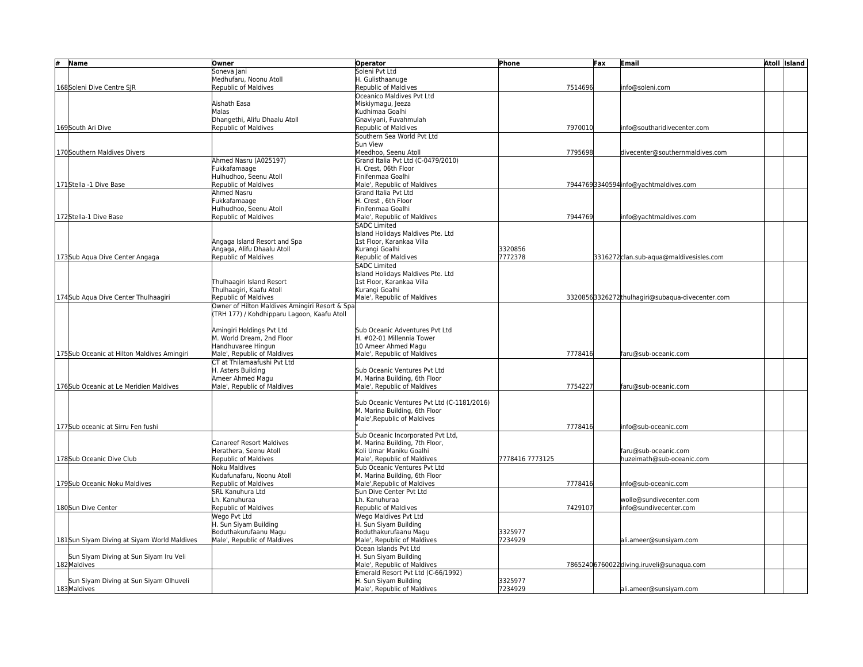| # | Name                                                   | Owner                                           | <b>Operator</b>                                                   | Phone           |         | Fax | Email                                            | <b>Atoll Island</b> |
|---|--------------------------------------------------------|-------------------------------------------------|-------------------------------------------------------------------|-----------------|---------|-----|--------------------------------------------------|---------------------|
|   |                                                        | Soneva Jani                                     | Soleni Pvt Ltd                                                    |                 |         |     |                                                  |                     |
|   |                                                        | Medhufaru, Noonu Atoll                          | H. Gulisthaanuge                                                  |                 |         |     |                                                  |                     |
|   | 168Soleni Dive Centre SJR                              | Republic of Maldives                            | Republic of Maldives                                              |                 | 7514696 |     | nfo@soleni.com                                   |                     |
|   |                                                        |                                                 | Oceanico Maldives Pvt Ltd                                         |                 |         |     |                                                  |                     |
|   |                                                        | Aishath Easa                                    | Miskiymagu, Jeeza                                                 |                 |         |     |                                                  |                     |
|   |                                                        | Malas                                           | Kudhimaa Goalhi                                                   |                 |         |     |                                                  |                     |
|   |                                                        | Dhangethi. Alifu Dhaalu Atoll                   | Gnavivani. Fuvahmulah                                             |                 |         |     |                                                  |                     |
|   | 169South Ari Dive                                      | <b>Republic of Maldives</b>                     | Republic of Maldives                                              |                 | 7970010 |     | nfo@southaridivecenter.com                       |                     |
|   |                                                        |                                                 | Southern Sea World Pyt Ltd                                        |                 |         |     |                                                  |                     |
|   |                                                        |                                                 | Sun View                                                          |                 |         |     |                                                  |                     |
|   | 170 Southern Maldives Divers                           |                                                 | Meedhoo, Seenu Atoll                                              |                 | 7795698 |     | divecenter@southernmaldives.com                  |                     |
|   |                                                        | Ahmed Nasru (A025197)                           | Grand Italia Pvt Ltd (C-0479/2010)                                |                 |         |     |                                                  |                     |
|   |                                                        | Fukkafamaage                                    | H. Crest. 06th Floor<br>Finifenmaa Goalhi                         |                 |         |     |                                                  |                     |
|   | 171Stella -1 Dive Base                                 | Hulhudhoo, Seenu Atoll<br>Republic of Maldives  | Male', Republic of Maldives                                       |                 |         |     | 79447693340594info@yachtmaldives.com             |                     |
|   |                                                        | Ahmed Nasru                                     | Grand Italia Pvt Ltd                                              |                 |         |     |                                                  |                     |
|   |                                                        | Fukkafamaage                                    | H. Crest, 6th Floor                                               |                 |         |     |                                                  |                     |
|   |                                                        | Hulhudhoo, Seenu Atoll                          | Finifenmaa Goalhi                                                 |                 |         |     |                                                  |                     |
|   | 172Stella-1 Dive Base                                  | <b>Republic of Maldives</b>                     | Male', Republic of Maldives                                       |                 | 7944769 |     | nfo@yachtmaldives.com                            |                     |
|   |                                                        |                                                 | <b>SADC Limited</b>                                               |                 |         |     |                                                  |                     |
|   |                                                        |                                                 | Island Holidays Maldives Pte. Ltd                                 |                 |         |     |                                                  |                     |
|   |                                                        | Angaga Island Resort and Spa                    | 1st Floor, Karankaa Villa                                         |                 |         |     |                                                  |                     |
|   |                                                        | Angaga, Alifu Dhaalu Atoll                      | Kurangi Goalhi                                                    | 3320856         |         |     |                                                  |                     |
|   | 173Sub Aqua Dive Center Angaga                         | <b>Republic of Maldives</b>                     | Republic of Maldives                                              | 7772378         |         |     | 3316272 clan.sub-aqua@maldivesisles.com          |                     |
|   |                                                        |                                                 | <b>SADC Limited</b>                                               |                 |         |     |                                                  |                     |
|   |                                                        |                                                 | Island Holidays Maldives Pte. Ltd                                 |                 |         |     |                                                  |                     |
|   |                                                        | Thulhaagiri Island Resort                       | 1st Floor, Karankaa Villa                                         |                 |         |     |                                                  |                     |
|   |                                                        | Thulhaagiri, Kaafu Atoll                        | Kurangi Goalhi                                                    |                 |         |     |                                                  |                     |
|   | 174Sub Agua Dive Center Thulhaagiri                    | Republic of Maldives                            | Male', Republic of Maldives                                       |                 |         |     | 33208563326272 thulhagiri@subaqua-divecenter.com |                     |
|   |                                                        | Owner of Hilton Maldives Amingiri Resort & Spa  |                                                                   |                 |         |     |                                                  |                     |
|   |                                                        | (TRH 177) / Kohdhipparu Lagoon, Kaafu Atoll     |                                                                   |                 |         |     |                                                  |                     |
|   |                                                        |                                                 |                                                                   |                 |         |     |                                                  |                     |
|   |                                                        | Amingiri Holdings Pvt Ltd                       | Sub Oceanic Adventures Pvt Ltd                                    |                 |         |     |                                                  |                     |
|   |                                                        | M. World Dream, 2nd Floor                       | H. #02-01 Millennia Tower                                         |                 |         |     |                                                  |                     |
|   |                                                        | Handhuvaree Hingun                              | 10 Ameer Ahmed Magu                                               |                 |         |     |                                                  |                     |
|   | 175 Sub Oceanic at Hilton Maldives Amingiri            | Male', Republic of Maldives                     | Male', Republic of Maldives                                       |                 | 7778416 |     | faru@sub-oceanic.com                             |                     |
|   |                                                        | CT at Thilamaafushi Pvt Ltd                     |                                                                   |                 |         |     |                                                  |                     |
|   |                                                        | H. Asters Building                              | Sub Oceanic Ventures Pvt Ltd                                      |                 |         |     |                                                  |                     |
|   | 176Sub Oceanic at Le Meridien Maldives                 | Ameer Ahmed Magu<br>Male', Republic of Maldives | M. Marina Building, 6th Floor<br>Male', Republic of Maldives      |                 | 7754227 |     | faru@sub-oceanic.com                             |                     |
|   |                                                        |                                                 |                                                                   |                 |         |     |                                                  |                     |
|   |                                                        |                                                 | Sub Oceanic Ventures Pvt Ltd (C-1181/2016)                        |                 |         |     |                                                  |                     |
|   |                                                        |                                                 | M. Marina Building, 6th Floor                                     |                 |         |     |                                                  |                     |
|   |                                                        |                                                 | Male', Republic of Maldives                                       |                 |         |     |                                                  |                     |
|   | 177Sub oceanic at Sirru Fen fushi                      |                                                 |                                                                   |                 | 7778416 |     | nfo@sub-oceanic.com                              |                     |
|   |                                                        |                                                 | Sub Oceanic Incorporated Pvt Ltd,                                 |                 |         |     |                                                  |                     |
|   |                                                        | <b>Canareef Resort Maldives</b>                 | M. Marina Building, 7th Floor,                                    |                 |         |     |                                                  |                     |
|   |                                                        | Herathera. Seenu Atoll                          | Koli Umar Maniku Goalhi                                           |                 |         |     | faru@sub-oceanic.com                             |                     |
|   | 178Sub Oceanic Dive Club                               | <b>Republic of Maldives</b>                     | Male', Republic of Maldives                                       | 7778416 7773125 |         |     | huzeimath@sub-oceanic.com                        |                     |
|   |                                                        | Noku Maldives                                   | Sub Oceanic Ventures Pvt Ltd                                      |                 |         |     |                                                  |                     |
|   |                                                        | Kudafunafaru, Noonu Atoll                       | M. Marina Building, 6th Floor                                     |                 |         |     |                                                  |                     |
|   | 179Sub Oceanic Noku Maldives                           | <b>Republic of Maldives</b>                     | Male', Republic of Maldives                                       |                 | 7778416 |     | nfo@sub-oceanic.com                              |                     |
|   |                                                        | SRL Kanuhura Ltd                                | Sun Dive Center Pvt Ltd                                           |                 |         |     |                                                  |                     |
|   |                                                        | Lh. Kanuhuraa                                   | Lh. Kanuhuraa                                                     |                 |         |     | wolle@sundivecenter.com                          |                     |
|   | 180Sun Dive Center                                     | <b>Republic of Maldives</b>                     | <b>Republic of Maldives</b>                                       |                 | 7429107 |     | nfo@sundivecenter.com                            |                     |
|   |                                                        | Wego Pvt Ltd                                    | Wego Maldives Pvt Ltd                                             |                 |         |     |                                                  |                     |
|   |                                                        | H. Sun Siyam Building                           | H. Sun Siyam Building                                             |                 |         |     |                                                  |                     |
|   |                                                        | Boduthakurufaanu Magu                           | Boduthakurufaanu Magu                                             | 3325977         |         |     |                                                  |                     |
|   | 181Sun Siyam Diving at Siyam World Maldives            | Male', Republic of Maldives                     | Male', Republic of Maldives                                       | 7234929         |         |     | ali.ameer@sunsiyam.com                           |                     |
|   |                                                        |                                                 | Ocean Islands Pyt Ltd                                             |                 |         |     |                                                  |                     |
|   | Sun Siyam Diving at Sun Siyam Iru Veli<br>182 Maldives |                                                 | H. Sun Siyam Building                                             |                 |         |     |                                                  |                     |
|   |                                                        |                                                 | Male', Republic of Maldives<br>Emerald Resort Pvt Ltd (C-66/1992) |                 |         |     | 78652406760022diving.iruveli@sunaqua.com         |                     |
|   | Sun Siyam Diving at Sun Siyam Olhuveli                 |                                                 | H. Sun Siyam Building                                             | 3325977         |         |     |                                                  |                     |
|   | 183Maldives                                            |                                                 | Male', Republic of Maldives                                       | 7234929         |         |     | ali.ameer@sunsiyam.com                           |                     |
|   |                                                        |                                                 |                                                                   |                 |         |     |                                                  |                     |